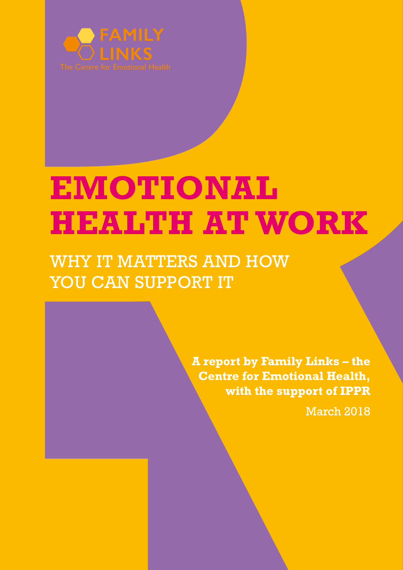

# **EMOTIONAL HEALTH AT WORK**

WHY IT MATTERS AND HOW YOU CAN SUPPORT IT

> **A report by Family Links – the Centre for Emotional Health, with the support of IPPR**

> > March 2018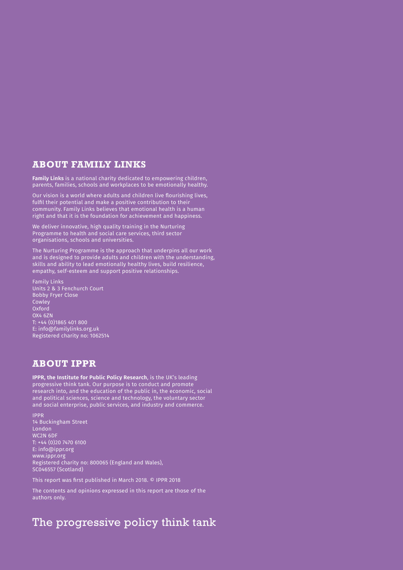#### **ABOUT FAMILY LINKS**

**Family Links** is a national charity dedicated to empowering children, parents, families, schools and workplaces to be emotionally healthy.

Our vision is a world where adults and children live flourishing lives, fulfil their potential and make a positive contribution to their community. Family Links believes that emotional health is a human right and that it is the foundation for achievement and happiness.

We deliver innovative, high quality training in the Nurturing Programme to health and social care services, third sector organisations, schools and universities.

The Nurturing Programme is the approach that underpins all our work and is designed to provide adults and children with the understanding, skills and ability to lead emotionally healthy lives, build resilience, empathy, self-esteem and support positive relationships.

Family Links Units 2 & 3 Fenchurch Court Bobby Fryer Close Cowley Oxford OX4 6ZN T: +44 (0)1865 401 800 E: info@familylinks.org.uk Registered charity no: 1062514

#### **ABOUT IPPR**

**IPPR, the Institute for Public Policy Research**, is the UK's leading progressive think tank. Our purpose is to conduct and promote research into, and the education of the public in, the economic, social and political sciences, science and technology, the voluntary sector and social enterprise, public services, and industry and commerce.

IPPR 14 Buckingham Street London WC2N 6DF T: +44 (0)20 7470 6100 E: info@ippr.org www.ippr.org Registered charity no: 800065 (England and Wales), SC046557 (Scotland)

This report was first published in March 2018. © IPPR 2018

The contents and opinions expressed in this report are those of the authors only.

### The progressive policy think tank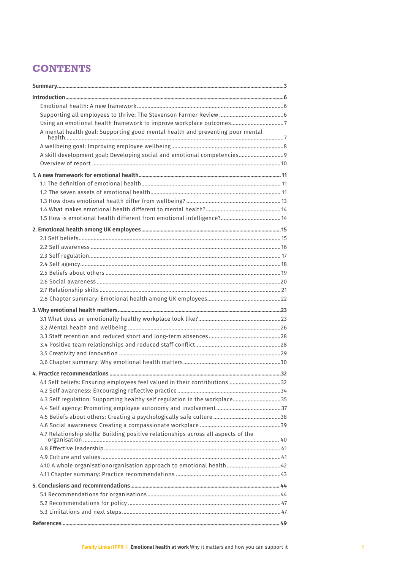### **CONTENTS**

| Using an emotional health framework to improve workplace outcomes7                 |  |
|------------------------------------------------------------------------------------|--|
| A mental health goal: Supporting good mental health and preventing poor mental     |  |
|                                                                                    |  |
| A skill development goal: Developing social and emotional competencies 9           |  |
|                                                                                    |  |
|                                                                                    |  |
|                                                                                    |  |
|                                                                                    |  |
|                                                                                    |  |
|                                                                                    |  |
|                                                                                    |  |
|                                                                                    |  |
|                                                                                    |  |
|                                                                                    |  |
|                                                                                    |  |
|                                                                                    |  |
|                                                                                    |  |
|                                                                                    |  |
|                                                                                    |  |
|                                                                                    |  |
|                                                                                    |  |
|                                                                                    |  |
|                                                                                    |  |
|                                                                                    |  |
|                                                                                    |  |
|                                                                                    |  |
|                                                                                    |  |
|                                                                                    |  |
| 4.1 Self beliefs: Ensuring employees feel valued in their contributions 32         |  |
|                                                                                    |  |
| 4.3 Self regulation: Supporting healthy self regulation in the workplace35         |  |
|                                                                                    |  |
|                                                                                    |  |
| 4.7 Relationship skills: Building positive relationships across all aspects of the |  |
|                                                                                    |  |
|                                                                                    |  |
|                                                                                    |  |
| 4.10 A whole organisationorganisation approach to emotional health 42              |  |
|                                                                                    |  |
|                                                                                    |  |
|                                                                                    |  |
|                                                                                    |  |
|                                                                                    |  |
|                                                                                    |  |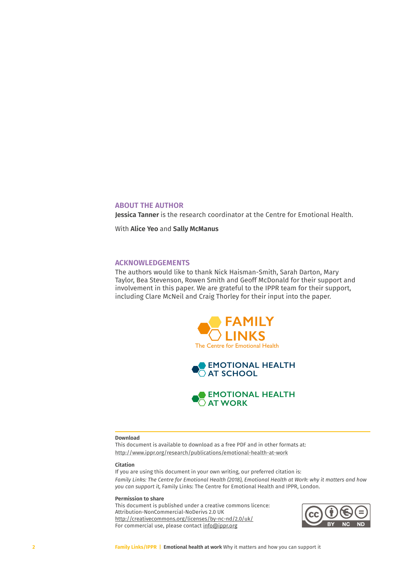#### **ABOUT THE AUTHOR**

**Jessica Tanner** is the research coordinator at the Centre for Emotional Health.

With **Alice Yeo** and **Sally McManus** 

#### **ACKNOWLEDGEMENTS**

The authors would like to thank Nick Haisman-Smith, Sarah Darton, Mary Taylor, Bea Stevenson, Rowen Smith and Geoff McDonald for their support and involvement in this paper. We are grateful to the IPPR team for their support, including Clare McNeil and Craig Thorley for their input into the paper.







#### **Download**

This document is available to download as a free PDF and in other formats at: http://www.ippr.org/research/publications/emotional-health-at-work

#### **Citation**

If you are using this document in your own writing, our preferred citation is: *Family Links: The Centre for Emotional Health (2018), Emotional Health at Work: why it matters and how you can support it,* Family Links: The Centre for Emotional Health and IPPR, London.

#### **Permission to share**

This document is published under a creative commons licence: Attribution-NonCommercial-NoDerivs 2.0 UK http://creativecommons.org/licenses/by-nc-nd/2.0/uk/ For commercial use, please contact info@ippr.org

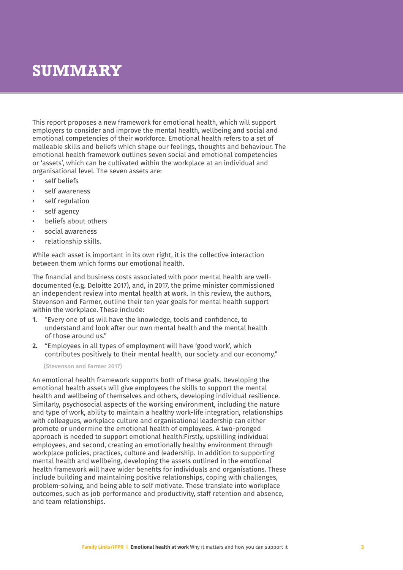# <span id="page-4-0"></span>**SUMMARY**

This report proposes a new framework for emotional health, which will support employers to consider and improve the mental health, wellbeing and social and emotional competencies of their workforce. Emotional health refers to a set of malleable skills and beliefs which shape our feelings, thoughts and behaviour. The emotional health framework outlines seven social and emotional competencies or 'assets', which can be cultivated within the workplace at an individual and organisational level. The seven assets are:

- self beliefs
- self awareness
- self regulation
- self agency
- beliefs about others
- social awareness
- relationship skills.

While each asset is important in its own right, it is the collective interaction between them which forms our emotional health.

The financial and business costs associated with poor mental health are welldocumented (e.g. Deloitte 2017), and, in 2017, the prime minister commissioned an independent review into mental health at work. In this review, the authors, Stevenson and Farmer, outline their ten year goals for mental health support within the workplace. These include:

- **1.** "Every one of us will have the knowledge, tools and confidence, to understand and look after our own mental health and the mental health of those around us."
- **2.** "Employees in all types of employment will have 'good work', which contributes positively to their mental health, our society and our economy."

**(Stevenson and Farmer 2017)**

An emotional health framework supports both of these goals. Developing the emotional health assets will give employees the skills to support the mental health and wellbeing of themselves and others, developing individual resilience. Similarly, psychosocial aspects of the working environment, including the nature and type of work, ability to maintain a healthy work-life integration, relationships with colleagues, workplace culture and organisational leadership can either promote or undermine the emotional health of employees. A two-pronged approach is needed to support emotional health:Firstly, upskilling individual employees, and second, creating an emotionally healthy environment through workplace policies, practices, culture and leadership. In addition to supporting mental health and wellbeing, developing the assets outlined in the emotional health framework will have wider benefits for individuals and organisations. These include building and maintaining positive relationships, coping with challenges, problem-solving, and being able to self motivate. These translate into workplace outcomes, such as job performance and productivity, staff retention and absence, and team relationships.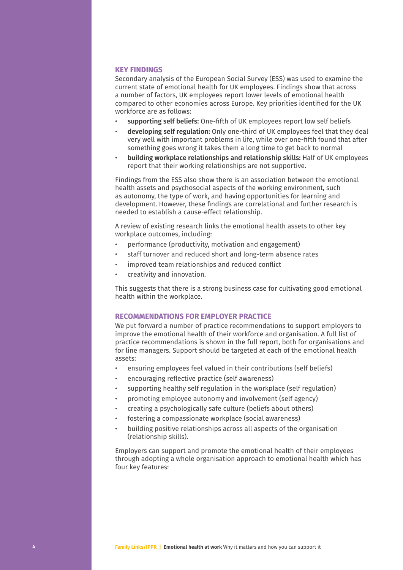#### **KEY FINDINGS**

Secondary analysis of the European Social Survey (ESS) was used to examine the current state of emotional health for UK employees. Findings show that across a number of factors, UK employees report lower levels of emotional health compared to other economies across Europe. Key priorities identified for the UK workforce are as follows:

- **supporting self beliefs:** One-fifth of UK employees report low self beliefs
- **developing self regulation:** Only one-third of UK employees feel that they deal very well with important problems in life, while over one-fifth found that after something goes wrong it takes them a long time to get back to normal
- **building workplace relationships and relationship skills:** Half of UK employees report that their working relationships are not supportive.

Findings from the ESS also show there is an association between the emotional health assets and psychosocial aspects of the working environment, such as autonomy, the type of work, and having opportunities for learning and development. However, these findings are correlational and further research is needed to establish a cause-effect relationship.

A review of existing research links the emotional health assets to other key workplace outcomes, including:

- performance (productivity, motivation and engagement)
- staff turnover and reduced short and long-term absence rates
- improved team relationships and reduced conflict
- creativity and innovation.

This suggests that there is a strong business case for cultivating good emotional health within the workplace.

#### **RECOMMENDATIONS FOR EMPLOYER PRACTICE**

We put forward a number of practice recommendations to support employers to improve the emotional health of their workforce and organisation. A full list of practice recommendations is shown in the full report, both for organisations and for line managers. Support should be targeted at each of the emotional health assets:

- ensuring employees feel valued in their contributions (self beliefs)
- encouraging reflective practice (self awareness)
- supporting healthy self regulation in the workplace (self regulation)
- promoting employee autonomy and involvement (self agency)
- creating a psychologically safe culture (beliefs about others)
- fostering a compassionate workplace (social awareness)
- building positive relationships across all aspects of the organisation (relationship skills).

Employers can support and promote the emotional health of their employees through adopting a whole organisation approach to emotional health which has four key features: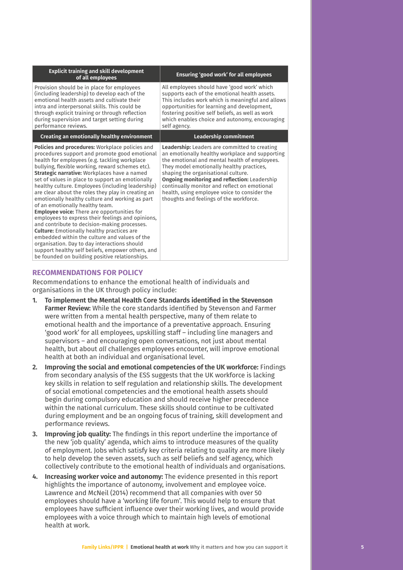| <b>Explicit training and skill development</b><br>of all employees                                                                                                                                                                                                                                                                                                                                                                                                                                                                                                                                                                                                                                                                                                                                                                                                                                                                        | Ensuring 'good work' for all employees                                                                                                                                                                                                                                                                                                                                                                                            |
|-------------------------------------------------------------------------------------------------------------------------------------------------------------------------------------------------------------------------------------------------------------------------------------------------------------------------------------------------------------------------------------------------------------------------------------------------------------------------------------------------------------------------------------------------------------------------------------------------------------------------------------------------------------------------------------------------------------------------------------------------------------------------------------------------------------------------------------------------------------------------------------------------------------------------------------------|-----------------------------------------------------------------------------------------------------------------------------------------------------------------------------------------------------------------------------------------------------------------------------------------------------------------------------------------------------------------------------------------------------------------------------------|
| Provision should be in place for employees<br>(including leadership) to develop each of the<br>emotional health assets and cultivate their<br>intra and interpersonal skills. This could be<br>through explicit training or through reflection<br>during supervision and target setting during<br>performance reviews.                                                                                                                                                                                                                                                                                                                                                                                                                                                                                                                                                                                                                    | All employees should have 'good work' which<br>supports each of the emotional health assets.<br>This includes work which is meaningful and allows<br>opportunities for learning and development,<br>fostering positive self beliefs, as well as work<br>which enables choice and autonomy, encouraging<br>self agency.                                                                                                            |
| Creating an emotionally healthy environment                                                                                                                                                                                                                                                                                                                                                                                                                                                                                                                                                                                                                                                                                                                                                                                                                                                                                               | <b>Leadership commitment</b>                                                                                                                                                                                                                                                                                                                                                                                                      |
| Policies and procedures: Workplace policies and<br>procedures support and promote good emotional<br>health for employees (e.g. tackling workplace<br>bullying, flexible working, reward schemes etc).<br><b>Strategic narrative:</b> Workplaces have a named<br>set of values in place to support an emotionally<br>healthy culture. Employees (including leadership)<br>are clear about the roles they play in creating an<br>emotionally healthy culture and working as part<br>of an emotionally healthy team.<br><b>Employee voice:</b> There are opportunities for<br>employees to express their feelings and opinions,<br>and contribute to decision-making processes.<br><b>Culture:</b> Emotionally healthy practices are<br>embedded within the culture and values of the<br>organisation. Day to day interactions should<br>support healthy self beliefs, empower others, and<br>be founded on building positive relationships. | Leadership: Leaders are committed to creating<br>an emotionally healthy workplace and supporting<br>the emotional and mental health of employees.<br>They model emotionally healthy practices,<br>shaping the organisational culture.<br>Ongoing monitoring and reflection: Leadership<br>continually monitor and reflect on emotional<br>health, using employee voice to consider the<br>thoughts and feelings of the workforce. |

#### **RECOMMENDATIONS FOR POLICY**

Recommendations to enhance the emotional health of individuals and organisations in the UK through policy include:

- **1. To implement the Mental Health Core Standards identified in the Stevenson Farmer Review:** While the core standards identified by Stevenson and Farmer were written from a mental health perspective, many of them relate to emotional health and the importance of a preventative approach. Ensuring 'good work' for all employees, upskilling staff – including line managers and supervisors – and encouraging open conversations, not just about mental health, but about *all* challenges employees encounter, will improve emotional health at both an individual and organisational level.
- **2. Improving the social and emotional competencies of the UK workforce:** Findings from secondary analysis of the ESS suggests that the UK workforce is lacking key skills in relation to self regulation and relationship skills. The development of social emotional competencies and the emotional health assets should begin during compulsory education and should receive higher precedence within the national curriculum. These skills should continue to be cultivated during employment and be an ongoing focus of training, skill development and performance reviews.
- **3. Improving job quality:** The findings in this report underline the importance of the new 'job quality' agenda, which aims to introduce measures of the quality of employment. Jobs which satisfy key criteria relating to quality are more likely to help develop the seven assets, such as self beliefs and self agency, which collectively contribute to the emotional health of individuals and organisations.
- **4. Increasing worker voice and autonomy:** The evidence presented in this report highlights the importance of autonomy, involvement and employee voice. Lawrence and McNeil (2014) recommend that all companies with over 50 employees should have a 'working life forum'. This would help to ensure that employees have sufficient influence over their working lives, and would provide employees with a voice through which to maintain high levels of emotional health at work.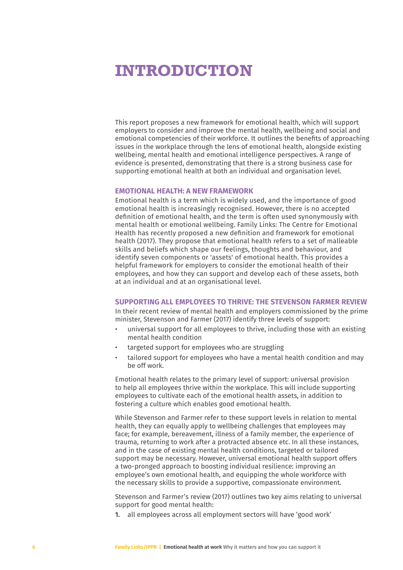### <span id="page-7-0"></span>**INTRODUCTION**

This report proposes a new framework for emotional health, which will support employers to consider and improve the mental health, wellbeing and social and emotional competencies of their workforce. It outlines the benefits of approaching issues in the workplace through the lens of emotional health, alongside existing wellbeing, mental health and emotional intelligence perspectives. A range of evidence is presented, demonstrating that there is a strong business case for supporting emotional health at both an individual and organisation level.

#### **EMOTIONAL HEALTH: A NEW FRAMEWORK**

Emotional health is a term which is widely used, and the importance of good emotional health is increasingly recognised. However, there is no accepted definition of emotional health, and the term is often used synonymously with mental health or emotional wellbeing. Family Links: The Centre for Emotional Health has recently proposed a new definition and framework for emotional health (2017). They propose that emotional health refers to a set of malleable skills and beliefs which shape our feelings, thoughts and behaviour, and identify seven components or 'assets' of emotional health. This provides a helpful framework for employers to consider the emotional health of their employees, and how they can support and develop each of these assets, both at an individual and at an organisational level.

#### **SUPPORTING ALL EMPLOYEES TO THRIVE: THE STEVENSON FARMER REVIEW**

In their recent review of mental health and employers commissioned by the prime minister, Stevenson and Farmer (2017) identify three levels of support:

- universal support for all employees to thrive, including those with an existing mental health condition
- targeted support for employees who are struggling
- tailored support for employees who have a mental health condition and may be off work.

Emotional health relates to the primary level of support: universal provision to help all employees thrive within the workplace. This will include supporting employees to cultivate each of the emotional health assets, in addition to fostering a culture which enables good emotional health.

While Stevenson and Farmer refer to these support levels in relation to mental health, they can equally apply to wellbeing challenges that employees may face; for example, bereavement, illness of a family member, the experience of trauma, returning to work after a protracted absence etc. In all these instances, and in the case of existing mental health conditions, targeted or tailored support may be necessary. However, universal emotional health support offers a two-pronged approach to boosting individual resilience: improving an employee's own emotional health, and equipping the whole workforce with the necessary skills to provide a supportive, compassionate environment.

Stevenson and Farmer's review (2017) outlines two key aims relating to universal support for good mental health:

**1.** all employees across all employment sectors will have 'good work'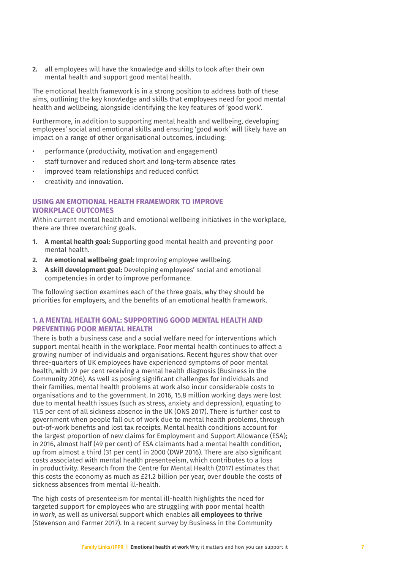<span id="page-8-0"></span>**2.** all employees will have the knowledge and skills to look after their own mental health and support good mental health.

The emotional health framework is in a strong position to address both of these aims, outlining the key knowledge and skills that employees need for good mental health and wellbeing, alongside identifying the key features of 'good work'.

Furthermore, in addition to supporting mental health and wellbeing, developing employees' social and emotional skills and ensuring 'good work' will likely have an impact on a range of other organisational outcomes, including:

- performance (productivity, motivation and engagement)
- staff turnover and reduced short and long-term absence rates
- improved team relationships and reduced conflict
- creativity and innovation.

#### **USING AN EMOTIONAL HEALTH FRAMEWORK TO IMPROVE WORKPLACE OUTCOMES**

Within current mental health and emotional wellbeing initiatives in the workplace, there are three overarching goals.

- **1. A mental health goal:** Supporting good mental health and preventing poor mental health.
- **2. An emotional wellbeing goal:** Improving employee wellbeing.
- **3. A skill development goal:** Developing employees' social and emotional competencies in order to improve performance.

The following section examines each of the three goals, why they should be priorities for employers, and the benefits of an emotional health framework.

#### **1. A MENTAL HEALTH GOAL: SUPPORTING GOOD MENTAL HEALTH AND PREVENTING POOR MENTAL HEALTH**

There is both a business case and a social welfare need for interventions which support mental health in the workplace. Poor mental health continues to affect a growing number of individuals and organisations. Recent figures show that over three-quarters of UK employees have experienced symptoms of poor mental health, with 29 per cent receiving a mental health diagnosis (Business in the Community 2016). As well as posing significant challenges for individuals and their families, mental health problems at work also incur considerable costs to organisations and to the government. In 2016, 15.8 million working days were lost due to mental health issues (such as stress, anxiety and depression), equating to 11.5 per cent of all sickness absence in the UK (ONS 2017). There is further cost to government when people fall out of work due to mental health problems, through out-of-work benefits and lost tax receipts. Mental health conditions account for the largest proportion of new claims for Employment and Support Allowance (ESA); in 2016, almost half (49 per cent) of ESA claimants had a mental health condition, up from almost a third (31 per cent) in 2000 (DWP 2016). There are also significant costs associated with mental health presenteeism, which contributes to a loss in productivity. Research from the Centre for Mental Health (2017) estimates that this costs the economy as much as £21.2 billion per year, over double the costs of sickness absences from mental ill-health.

The high costs of presenteeism for mental ill-health highlights the need for targeted support for employees who are struggling with poor mental health *in work*, as well as universal support which enables **all employees to thrive** (Stevenson and Farmer 2017). In a recent survey by Business in the Community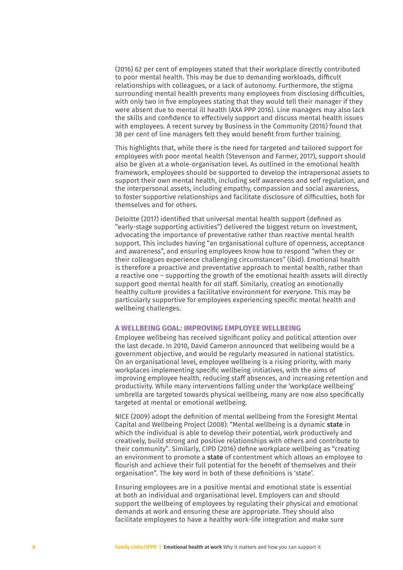<span id="page-9-0"></span>(2016) 62 per cent of employees stated that their workplace directly contributed to poor mental health. This may be due to demanding workloads, difficult relationships with colleagues, or a lack of autonomy. Furthermore, the stigma surrounding mental health prevents many employees from disclosing difficulties, with only two in five employees stating that they would tell their manager if they were absent due to mental ill health (AXA PPP 2016). Line managers may also lack the skills and confidence to effectively support and discuss mental health issues with employees. A recent survey by Business in the Community (2016) found that 38 per cent of line managers felt they would benefit from further training.

This highlights that, while there is the need for targeted and tailored support for employees with poor mental health (Stevenson and Farmer, 2017), support should also be given at a whole-organisation level. As outlined in the emotional health framework, employees should be supported to develop the intrapersonal assets to support their own mental health, including self awareness and self regulation, and the interpersonal assets, including empathy, compassion and social awareness, to foster supportive relationships and facilitate disclosure of difficulties, both for themselves and for others.

Deloitte (2017) identified that universal mental health support (defined as "early-stage supporting activities") delivered the biggest return on investment, advocating the importance of preventative rather than reactive mental health support. This includes having "an organisational culture of openness, acceptance and awareness", and ensuring employees know how to respond "when they or their colleagues experience challenging circumstances" (ibid). Emotional health is therefore a proactive and preventative approach to mental health, rather than a reactive one – supporting the growth of the emotional health assets will directly support good mental health for *all* staff. Similarly, creating an emotionally healthy culture provides a facilitative environment for *everyone*. This may be particularly supportive for employees experiencing specific mental health and wellbeing challenges.

#### **A WELLBEING GOAL: IMPROVING EMPLOYEE WELLBEING**

Employee wellbeing has received significant policy and political attention over the last decade. In 2010, David Cameron announced that wellbeing would be a government objective, and would be regularly measured in national statistics. On an organisational level, employee wellbeing is a rising priority, with many workplaces implementing specific wellbeing initiatives, with the aims of improving employee health, reducing staff absences, and increasing retention and productivity. While many interventions falling under the 'workplace wellbeing' umbrella are targeted towards physical wellbeing, many are now also specifically targeted at mental or emotional wellbeing.

NICE (2009) adopt the definition of mental wellbeing from the Foresight Mental Capital and Wellbeing Project (2008): "Mental wellbeing is a dynamic **state** in which the individual is able to develop their potential, work productively and creatively, build strong and positive relationships with others and contribute to their community"*.* Similarly, CIPD (2016) define workplace wellbeing as "creating an environment to promote a **state** of contentment which allows an employee to flourish and achieve their full potential for the benefit of themselves and their organisation". The key word in both of these definitions is 'state'.

Ensuring employees are in a positive mental and emotional state is essential at both an individual and organisational level. Employers can and should support the wellbeing of employees by regulating their physical and emotional demands at work and ensuring these are appropriate. They should also facilitate employees to have a healthy work-life integration and make sure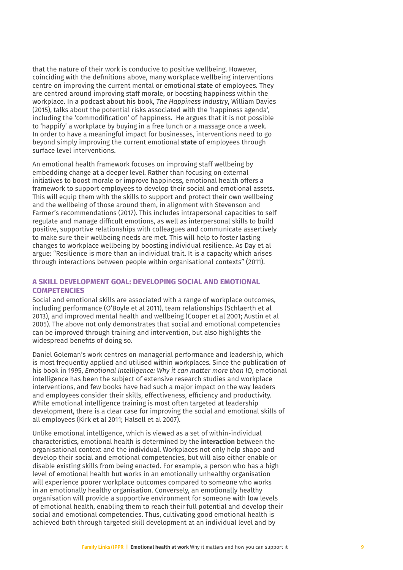<span id="page-10-0"></span>that the nature of their work is conducive to positive wellbeing. However, coinciding with the definitions above, many workplace wellbeing interventions centre on improving the current mental or emotional **state** of employees. They are centred around improving staff morale, or boosting happiness within the workplace. In a podcast about his book, *The Happiness Industry*, William Davies (2015), talks about the potential risks associated with the 'happiness agenda', including the 'commodification' of happiness. He argues that it is not possible to 'happify' a workplace by buying in a free lunch or a massage once a week. In order to have a meaningful impact for businesses, interventions need to go beyond simply improving the current emotional **state** of employees through surface level interventions.

An emotional health framework focuses on improving staff wellbeing by embedding change at a deeper level. Rather than focusing on external initiatives to boost morale or improve happiness, emotional health offers a framework to support employees to develop their social and emotional assets. This will equip them with the skills to support and protect their own wellbeing and the wellbeing of those around them, in alignment with Stevenson and Farmer's recommendations (2017). This includes intrapersonal capacities to self regulate and manage difficult emotions, as well as interpersonal skills to build positive, supportive relationships with colleagues and communicate assertively to make sure their wellbeing needs are met. This will help to foster lasting changes to workplace wellbeing by boosting individual resilience. As Day et al argue: "Resilience is more than an individual trait. It is a capacity which arises through interactions between people within organisational contexts" (2011).

#### **A SKILL DEVELOPMENT GOAL: DEVELOPING SOCIAL AND EMOTIONAL COMPETENCIES**

Social and emotional skills are associated with a range of workplace outcomes, including performance (O'Boyle et al 2011), team relationships (Schlaerth et al 2013), and improved mental health and wellbeing (Cooper et al 2001; Austin et al 2005). The above not only demonstrates that social and emotional competencies can be improved through training and intervention, but also highlights the widespread benefits of doing so.

Daniel Goleman's work centres on managerial performance and leadership, which is most frequently applied and utilised within workplaces. Since the publication of his book in 1995, *Emotional Intelligence: Why it can matter more than IQ*, emotional intelligence has been the subject of extensive research studies and workplace interventions, and few books have had such a major impact on the way leaders and employees consider their skills, effectiveness, efficiency and productivity. While emotional intelligence training is most often targeted at leadership development, there is a clear case for improving the social and emotional skills of all employees (Kirk et al 2011; Halsell et al 2007).

Unlike emotional intelligence, which is viewed as a set of within-individual characteristics, emotional health is determined by the **interaction** between the organisational context and the individual. Workplaces not only help shape and develop their social and emotional competencies, but will also either enable or disable existing skills from being enacted. For example, a person who has a high level of emotional health but works in an emotionally unhealthy organisation will experience poorer workplace outcomes compared to someone who works in an emotionally healthy organisation. Conversely, an emotionally healthy organisation will provide a supportive environment for someone with low levels of emotional health, enabling them to reach their full potential and develop their social and emotional competencies. Thus, cultivating good emotional health is achieved both through targeted skill development at an individual level and by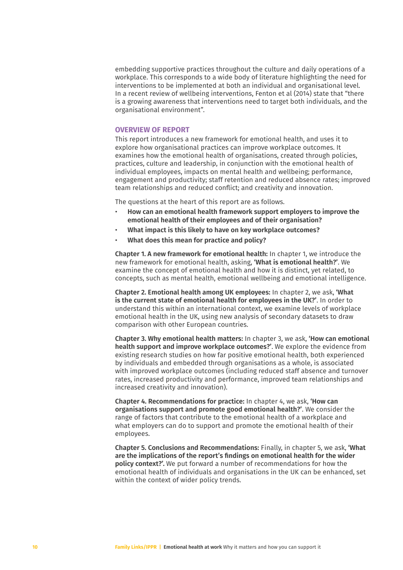<span id="page-11-0"></span>embedding supportive practices throughout the culture and daily operations of a workplace. This corresponds to a wide body of literature highlighting the need for interventions to be implemented at both an individual and organisational level. In a recent review of wellbeing interventions, Fenton et al (2014) state that "there is a growing awareness that interventions need to target both individuals, and the organisational environment".

#### **OVERVIEW OF REPORT**

This report introduces a new framework for emotional health, and uses it to explore how organisational practices can improve workplace outcomes. It examines how the emotional health of organisations, created through policies, practices, culture and leadership, in conjunction with the emotional health of individual employees, impacts on mental health and wellbeing; performance, engagement and productivity; staff retention and reduced absence rates; improved team relationships and reduced conflict; and creativity and innovation.

The questions at the heart of this report are as follows.

- **How can an emotional health framework support employers to improve the emotional health of their employees and of their organisation?**
- **What impact is this likely to have on key workplace outcomes?**
- **What does this mean for practice and policy?**

**Chapter 1. A new framework for emotional health:** In chapter 1, we introduce the new framework for emotional health, asking, **'What is emotional health?'**. We examine the concept of emotional health and how it is distinct, yet related, to concepts, such as mental health, emotional wellbeing and emotional intelligence.

**Chapter 2. Emotional health among UK employees:** In chapter 2, we ask, **'What is the current state of emotional health for employees in the UK?'**. In order to understand this within an international context, we examine levels of workplace emotional health in the UK, using new analysis of secondary datasets to draw comparison with other European countries.

**Chapter 3. Why emotional health matters:** In chapter 3, we ask, **'How can emotional health support and improve workplace outcomes?'**. We explore the evidence from existing research studies on how far positive emotional health, both experienced by individuals and embedded through organisations as a whole, is associated with improved workplace outcomes (including reduced staff absence and turnover rates, increased productivity and performance, improved team relationships and increased creativity and innovation).

**Chapter 4. Recommendations for practice:** In chapter 4, we ask, **'How can organisations support and promote good emotional health?'**. We consider the range of factors that contribute to the emotional health of a workplace and what employers can do to support and promote the emotional health of their employees.

**Chapter 5. Conclusions and Recommendations:** Finally, in chapter 5, we ask, **'What are the implications of the report's findings on emotional health for the wider policy context?'.** We put forward a number of recommendations for how the emotional health of individuals and organisations in the UK can be enhanced, set within the context of wider policy trends.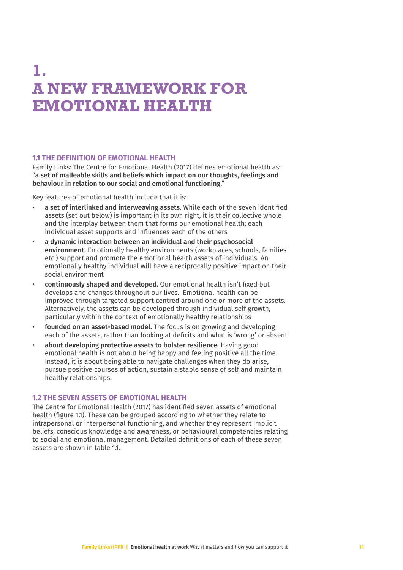# <span id="page-12-0"></span>**1. A NEW FRAMEWORK FOR EMOTIONAL HEALTH**

#### **1.1 THE DEFINITION OF EMOTIONAL HEALTH**

Family Links: The Centre for Emotional Health (2017) defines emotional health as: "**a set of malleable skills and beliefs which impact on our thoughts, feelings and behaviour in relation to our social and emotional functioning**."

Key features of emotional health include that it is:

- **a set of interlinked and interweaving assets.** While each of the seven identified assets (set out below) is important in its own right, it is their collective whole and the interplay between them that forms our emotional health; each individual asset supports and influences each of the others
- **a dynamic interaction between an individual and their psychosocial environment.** Emotionally healthy environments (workplaces, schools, families etc.) support and promote the emotional health assets of individuals. An emotionally healthy individual will have a reciprocally positive impact on their social environment
- **continuously shaped and developed.** Our emotional health isn't fixed but develops and changes throughout our lives. Emotional health can be improved through targeted support centred around one or more of the assets. Alternatively, the assets can be developed through individual self growth, particularly within the context of emotionally healthy relationships
- **founded on an asset-based model.** The focus is on growing and developing each of the assets, rather than looking at deficits and what is 'wrong' or absent
- **about developing protective assets to bolster resilience.** Having good emotional health is not about being happy and feeling positive all the time. Instead, it is about being able to navigate challenges when they do arise, pursue positive courses of action, sustain a stable sense of self and maintain healthy relationships.

#### **1.2 THE SEVEN ASSETS OF EMOTIONAL HEALTH**

The Centre for Emotional Health (2017) has identified seven assets of emotional health (figure 1.1). These can be grouped according to whether they relate to intrapersonal or interpersonal functioning, and whether they represent implicit beliefs, conscious knowledge and awareness, or behavioural competencies relating to social and emotional management. Detailed definitions of each of these seven assets are shown in table 1.1.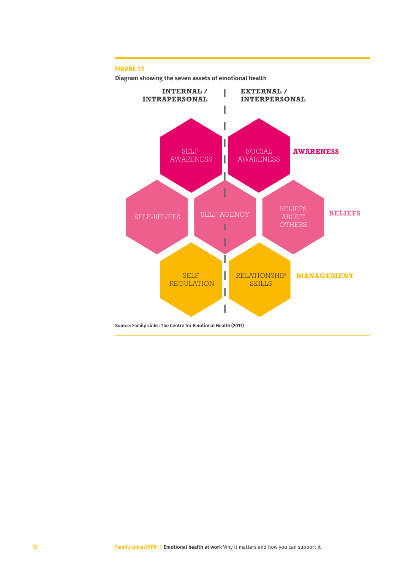#### **FIGURE 1.1**



**Diagram showing the seven assets of emotional health**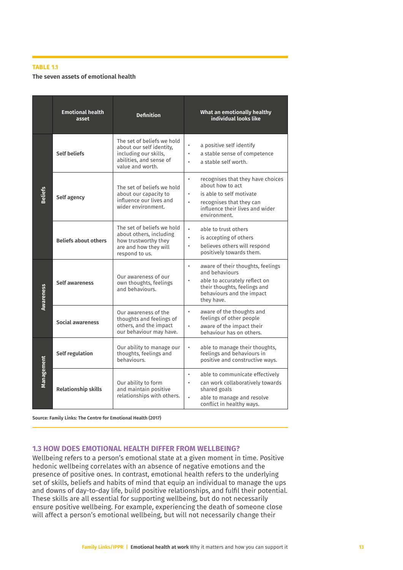#### <span id="page-14-0"></span>**TABLE 1.1**

**The seven assets of emotional health**

|            | <b>Emotional health</b><br>asset | <b>Definition</b>                                                                                                              | What an emotionally healthy<br>individual looks like                                                                                                                                            |
|------------|----------------------------------|--------------------------------------------------------------------------------------------------------------------------------|-------------------------------------------------------------------------------------------------------------------------------------------------------------------------------------------------|
|            | Self beliefs                     | The set of beliefs we hold<br>about our self identity.<br>including our skills.<br>abilities, and sense of<br>value and worth. | a positive self identify<br>٠<br>a stable sense of competence<br>$\bullet$<br>a stable self worth.<br>$\bullet$                                                                                 |
| Beliefs    | Self agency                      | The set of beliefs we hold<br>about our capacity to<br>influence our lives and<br>wider environment.                           | recognises that they have choices<br>$\bullet$<br>about how to act<br>is able to self motivate<br>٠<br>$\bullet$<br>recognises that they can<br>influence their lives and wider<br>environment. |
|            | <b>Beliefs about others</b>      | The set of beliefs we hold<br>about others, including<br>how trustworthy they<br>are and how they will<br>respond to us.       | $\bullet$<br>able to trust others<br>is accepting of others<br>$\bullet$<br>believes others will respond<br>$\bullet$<br>positively towards them.                                               |
| Awareness  | <b>Self awareness</b>            | Our awareness of our<br>own thoughts, feelings<br>and behaviours.                                                              | aware of their thoughts, feelings<br>$\bullet$<br>and behaviours<br>able to accurately reflect on<br>$\bullet$<br>their thoughts, feelings and<br>behaviours and the impact<br>they have.       |
|            | <b>Social awareness</b>          | Our awareness of the<br>thoughts and feelings of<br>others, and the impact<br>our behaviour may have.                          | aware of the thoughts and<br>$\bullet$<br>feelings of other people<br>aware of the impact their<br>$\bullet$<br>behaviour has on others.                                                        |
|            | <b>Self regulation</b>           | Our ability to manage our<br>thoughts, feelings and<br>behaviours.                                                             | $\bullet$<br>able to manage their thoughts,<br>feelings and behaviours in<br>positive and constructive ways.                                                                                    |
| Management | <b>Relationship skills</b>       | Our ability to form<br>and maintain positive<br>relationships with others.                                                     | able to communicate effectively<br>$\bullet$<br>can work collaboratively towards<br>$\bullet$<br>shared goals<br>able to manage and resolve<br>$\bullet$<br>conflict in healthy ways.           |

**Source: Family Links: The Centre for Emotional Health (2017)**

#### **1.3 HOW DOES EMOTIONAL HEALTH DIFFER FROM WELLBEING?**

Wellbeing refers to a person's emotional state at a given moment in time. Positive hedonic wellbeing correlates with an absence of negative emotions and the presence of positive ones. In contrast, emotional health refers to the underlying set of skills, beliefs and habits of mind that equip an individual to manage the ups and downs of day-to-day life, build positive relationships, and fulfil their potential. These skills are all essential for supporting wellbeing, but do not necessarily ensure positive wellbeing. For example, experiencing the death of someone close will affect a person's emotional wellbeing, but will not necessarily change their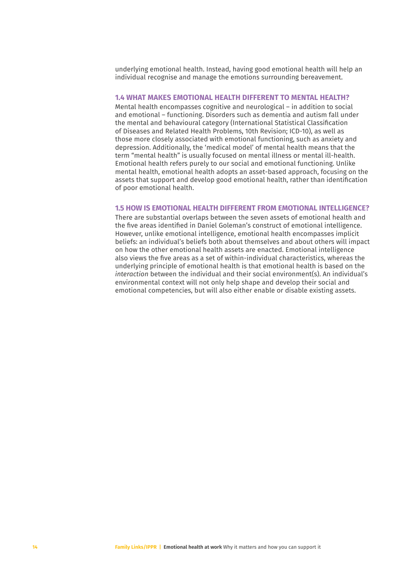<span id="page-15-0"></span>underlying emotional health. Instead, having good emotional health will help an individual recognise and manage the emotions surrounding bereavement.

#### **1.4 WHAT MAKES EMOTIONAL HEALTH DIFFERENT TO MENTAL HEALTH?**

Mental health encompasses cognitive and neurological – in addition to social and emotional – functioning. Disorders such as dementia and autism fall under the mental and behavioural category (International Statistical Classification of Diseases and Related Health Problems, 10th Revision; ICD-10), as well as those more closely associated with emotional functioning, such as anxiety and depression. Additionally, the 'medical model' of mental health means that the term "mental health" is usually focused on mental illness or mental ill-health. Emotional health refers purely to our social and emotional functioning. Unlike mental health, emotional health adopts an asset-based approach, focusing on the assets that support and develop good emotional health, rather than identification of poor emotional health.

#### **1.5 HOW IS EMOTIONAL HEALTH DIFFERENT FROM EMOTIONAL INTELLIGENCE?**

There are substantial overlaps between the seven assets of emotional health and the five areas identified in Daniel Goleman's construct of emotional intelligence. However, unlike emotional intelligence, emotional health encompasses implicit beliefs: an individual's beliefs both about themselves and about others will impact on how the other emotional health assets are enacted. Emotional intelligence also views the five areas as a set of within-individual characteristics, whereas the underlying principle of emotional health is that emotional health is based on the *interaction* between the individual and their social environment(s). An individual's environmental context will not only help shape and develop their social and emotional competencies, but will also either enable or disable existing assets.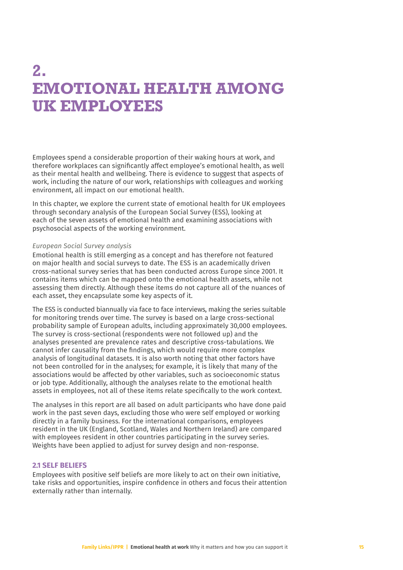# <span id="page-16-0"></span>**2. EMOTIONAL HEALTH AMONG UK EMPLOYEES**

Employees spend a considerable proportion of their waking hours at work, and therefore workplaces can significantly affect employee's emotional health, as well as their mental health and wellbeing. There is evidence to suggest that aspects of work, including the nature of our work, relationships with colleagues and working environment, all impact on our emotional health.

In this chapter, we explore the current state of emotional health for UK employees through secondary analysis of the European Social Survey (ESS), looking at each of the seven assets of emotional health and examining associations with psychosocial aspects of the working environment.

#### *European Social Survey analysis*

Emotional health is still emerging as a concept and has therefore not featured on major health and social surveys to date. The ESS is an academically driven cross-national survey series that has been conducted across Europe since 2001. It contains items which can be mapped onto the emotional health assets, while not assessing them directly. Although these items do not capture all of the nuances of each asset, they encapsulate some key aspects of it.

The ESS is conducted biannually via face to face interviews, making the series suitable for monitoring trends over time. The survey is based on a large cross-sectional probability sample of European adults, including approximately 30,000 employees. The survey is cross-sectional (respondents were not followed up) and the analyses presented are prevalence rates and descriptive cross-tabulations. We cannot infer causality from the findings, which would require more complex analysis of longitudinal datasets. It is also worth noting that other factors have not been controlled for in the analyses; for example, it is likely that many of the associations would be affected by other variables, such as socioeconomic status or job type. Additionally, although the analyses relate to the emotional health assets in employees, not all of these items relate specifically to the work context.

The analyses in this report are all based on adult participants who have done paid work in the past seven days, excluding those who were self employed or working directly in a family business. For the international comparisons, employees resident in the UK (England, Scotland, Wales and Northern Ireland) are compared with employees resident in other countries participating in the survey series. Weights have been applied to adjust for survey design and non-response.

#### **2.1 SELF BELIEFS**

Employees with positive self beliefs are more likely to act on their own initiative, take risks and opportunities, inspire confidence in others and focus their attention externally rather than internally.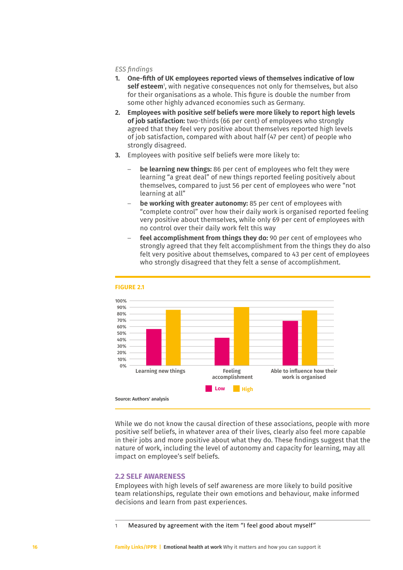#### <span id="page-17-0"></span>*ESS findings*

- **1. One-fifth of UK employees reported views of themselves indicative of low self esteem**<sup>1</sup> , with negative consequences not only for themselves, but also for their organisations as a whole. This figure is double the number from some other highly advanced economies such as Germany.
- **2. Employees with positive self beliefs were more likely to report high levels of job satisfaction:** two-thirds (66 per cent) of employees who strongly agreed that they feel very positive about themselves reported high levels of job satisfaction, compared with about half (47 per cent) of people who strongly disagreed.
- **3.** Employees with positive self beliefs were more likely to:
	- **be learning new things:** 86 per cent of employees who felt they were learning "a great deal" of new things reported feeling positively about themselves, compared to just 56 per cent of employees who were "not learning at all"
	- **be working with greater autonomy:** 85 per cent of employees with "complete control" over how their daily work is organised reported feeling very positive about themselves, while only 69 per cent of employees with no control over their daily work felt this way
	- **feel accomplishment from things they do:** 90 per cent of employees who strongly agreed that they felt accomplishment from the things they do also felt very positive about themselves, compared to 43 per cent of employees who strongly disagreed that they felt a sense of accomplishment.



#### **FIGURE 2.1**

While we do not know the causal direction of these associations, people with more positive self beliefs, in whatever area of their lives, clearly also feel more capable in their jobs and more positive about what they do. These findings suggest that the nature of work, including the level of autonomy and capacity for learning, may all impact on employee's self beliefs.

#### **2.2 SELF AWARENESS**

Employees with high levels of self awareness are more likely to build positive team relationships, regulate their own emotions and behaviour, make informed decisions and learn from past experiences.

1 Measured by agreement with the item "I feel good about myself"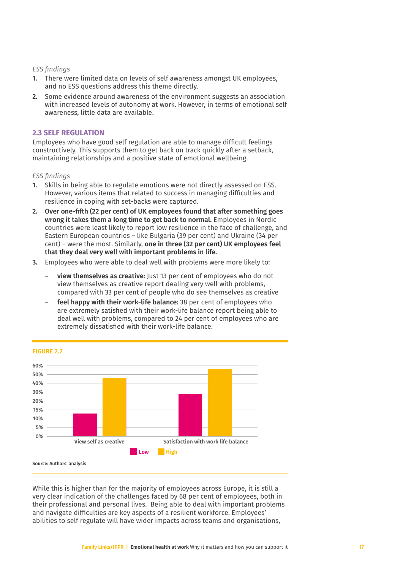#### <span id="page-18-0"></span>*ESS findings*

- **1.** There were limited data on levels of self awareness amongst UK employees, and no ESS questions address this theme directly.
- **2.** Some evidence around awareness of the environment suggests an association with increased levels of autonomy at work. However, in terms of emotional self awareness, little data are available.

#### **2.3 SELF REGULATION**

Employees who have good self regulation are able to manage difficult feelings constructively. This supports them to get back on track quickly after a setback, maintaining relationships and a positive state of emotional wellbeing.

*ESS findings*

- **1.** Skills in being able to regulate emotions were not directly assessed on ESS. However, various items that related to success in managing difficulties and resilience in coping with set-backs were captured.
- **2. Over one-fifth (22 per cent) of UK employees found that after something goes wrong it takes them a long time to get back to normal.** Employees in Nordic countries were least likely to report low resilience in the face of challenge, and Eastern European countries – like Bulgaria (39 per cent) and Ukraine (34 per cent) – were the most. Similarly, **one in three (32 per cent) UK employees feel that they deal very well with important problems in life.**
- **3.** Employees who were able to deal well with problems were more likely to:
	- **view themselves as creative:** Just 13 per cent of employees who do not view themselves as creative report dealing very well with problems, compared with 33 per cent of people who do see themselves as creative
	- feel happy with their work-life balance: 38 per cent of employees who are extremely satisfied with their work-life balance report being able to deal well with problems, compared to 24 per cent of employees who are extremely dissatisfied with their work-life balance.



**FIGURE 2.2**

While this is higher than for the majority of employees across Europe, it is still a very clear indication of the challenges faced by 68 per cent of employees, both in their professional and personal lives. Being able to deal with important problems and navigate difficulties are key aspects of a resilient workforce. Employees' abilities to self regulate will have wider impacts across teams and organisations,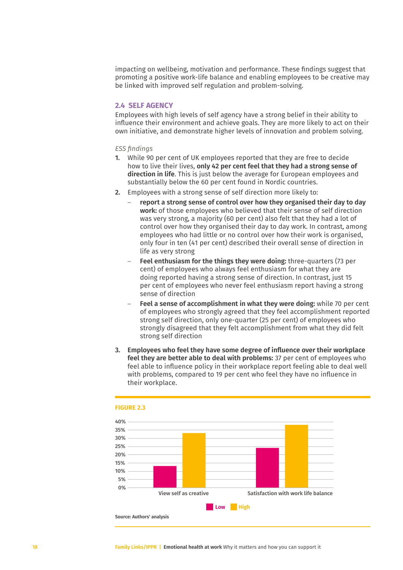<span id="page-19-0"></span>impacting on wellbeing, motivation and performance. These findings suggest that promoting a positive work-life balance and enabling employees to be creative may be linked with improved self regulation and problem-solving.

#### **2.4 SELF AGENCY**

Employees with high levels of self agency have a strong belief in their ability to influence their environment and achieve goals. They are more likely to act on their own initiative, and demonstrate higher levels of innovation and problem solving.

#### *ESS findings*

- **1.** While 90 per cent of UK employees reported that they are free to decide how to live their lives, **only 42 per cent feel that they had a strong sense of direction in life**. This is just below the average for European employees and substantially below the 60 per cent found in Nordic countries.
- **2.** Employees with a strong sense of self direction more likely to:
	- **report a strong sense of control over how they organised their day to day work:** of those employees who believed that their sense of self direction was very strong, a majority (60 per cent) also felt that they had a lot of control over how they organised their day to day work. In contrast, among employees who had little or no control over how their work is organised, only four in ten (41 per cent) described their overall sense of direction in life as very strong
	- **Feel enthusiasm for the things they were doing:** three-quarters (73 per cent) of employees who always feel enthusiasm for what they are doing reported having a strong sense of direction. In contrast, just 15 per cent of employees who never feel enthusiasm report having a strong sense of direction
	- **Feel a sense of accomplishment in what they were doing:** while 70 per cent of employees who strongly agreed that they feel accomplishment reported strong self direction, only one-quarter (25 per cent) of employees who strongly disagreed that they felt accomplishment from what they did felt strong self direction
- **3. Employees who feel they have some degree of influence over their workplace feel they are better able to deal with problems:** 37 per cent of employees who feel able to influence policy in their workplace report feeling able to deal well with problems, compared to 19 per cent who feel they have no influence in their workplace.



#### **FIGURE 2.3**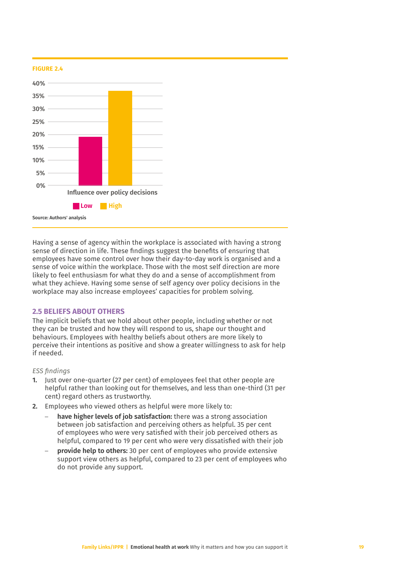<span id="page-20-0"></span>



Having a sense of agency within the workplace is associated with having a strong sense of direction in life. These findings suggest the benefits of ensuring that employees have some control over how their day-to-day work is organised and a sense of voice within the workplace. Those with the most self direction are more likely to feel enthusiasm for what they do and a sense of accomplishment from what they achieve. Having some sense of self agency over policy decisions in the workplace may also increase employees' capacities for problem solving.

#### **2.5 BELIEFS ABOUT OTHERS**

The implicit beliefs that we hold about other people, including whether or not they can be trusted and how they will respond to us, shape our thought and behaviours. Employees with healthy beliefs about others are more likely to perceive their intentions as positive and show a greater willingness to ask for help if needed.

#### *ESS findings*

- **1.** Just over one-quarter (27 per cent) of employees feel that other people are helpful rather than looking out for themselves, and less than one-third (31 per cent) regard others as trustworthy.
- **2.** Employees who viewed others as helpful were more likely to:
	- **have higher levels of job satisfaction:** there was a strong association between job satisfaction and perceiving others as helpful. 35 per cent of employees who were very satisfied with their job perceived others as helpful, compared to 19 per cent who were very dissatisfied with their job
	- **provide help to others:** 30 per cent of employees who provide extensive support view others as helpful, compared to 23 per cent of employees who do not provide any support.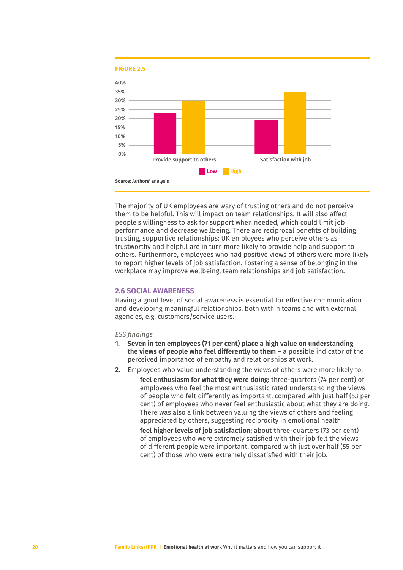<span id="page-21-0"></span>

The majority of UK employees are wary of trusting others and do not perceive them to be helpful. This will impact on team relationships. It will also affect people's willingness to ask for support when needed, which could limit job performance and decrease wellbeing. There are reciprocal benefits of building trusting, supportive relationships: UK employees who perceive others as trustworthy and helpful are in turn more likely to provide help and support to others. Furthermore, employees who had positive views of others were more likely to report higher levels of job satisfaction. Fostering a sense of belonging in the workplace may improve wellbeing, team relationships and job satisfaction.

#### **2.6 SOCIAL AWARENESS**

Having a good level of social awareness is essential for effective communication and developing meaningful relationships, both within teams and with external agencies, e.g. customers/service users.

#### *ESS findings*

- **1. Seven in ten employees (71 per cent) place a high value on understanding the views of people who feel differently to them** – a possible indicator of the perceived importance of empathy and relationships at work.
- **2.** Employees who value understanding the views of others were more likely to:
	- **feel enthusiasm for what they were doing:** three-quarters (74 per cent) of employees who feel the most enthusiastic rated understanding the views of people who felt differently as important, compared with just half (53 per cent) of employees who never feel enthusiastic about what they are doing. There was also a link between valuing the views of others and feeling appreciated by others, suggesting reciprocity in emotional health
	- **feel higher levels of job satisfaction:** about three-quarters (73 per cent) of employees who were extremely satisfied with their job felt the views of different people were important, compared with just over half (55 per cent) of those who were extremely dissatisfied with their job.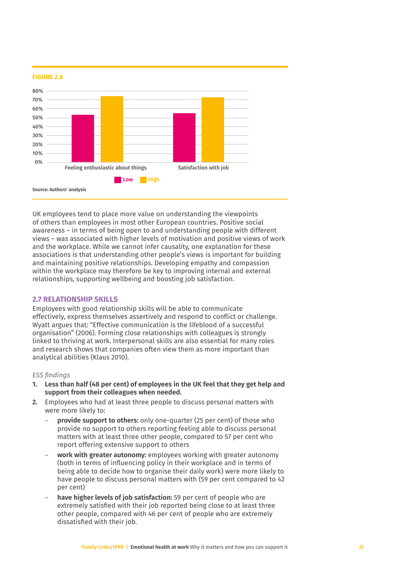#### <span id="page-22-0"></span>**FIGURE 2.6**



UK employees tend to place more value on understanding the viewpoints of others than employees in most other European countries. Positive social awareness – in terms of being open to and understanding people with different views – was associated with higher levels of motivation and positive views of work and the workplace. While we cannot infer causality, one explanation for these associations is that understanding other people's views is important for building and maintaining positive relationships. Developing empathy and compassion within the workplace may therefore be key to improving internal and external relationships, supporting wellbeing and boosting job satisfaction.

#### **2.7 RELATIONSHIP SKILLS**

Employees with good relationship skills will be able to communicate effectively, express themselves assertively and respond to conflict or challenge. Wyatt argues that: "Effective communication is the lifeblood of a successful organisation" (2006). Forming close relationships with colleagues is strongly linked to thriving at work. Interpersonal skills are also essential for many roles and research shows that companies often view them as more important than analytical abilities (Klaus 2010).

#### *ESS findings*

- **1. Less than half (48 per cent) of employees in the UK feel that they get help and support from their colleagues when needed.**
- **2.** Employees who had at least three people to discuss personal matters with were more likely to:
	- **provide support to others:** only one-quarter (25 per cent) of those who provide no support to others reporting feeling able to discuss personal matters with at least three other people, compared to 57 per cent who report offering extensive support to others
	- **work with greater autonomy:** employees working with greater autonomy (both in terms of influencing policy in their workplace and in terms of being able to decide how to organise their daily work) were more likely to have people to discuss personal matters with (59 per cent compared to 42 per cent)
	- have higher levels of job satisfaction: 59 per cent of people who are extremely satisfied with their job reported being close to at least three other people, compared with 46 per cent of people who are extremely dissatisfied with their job.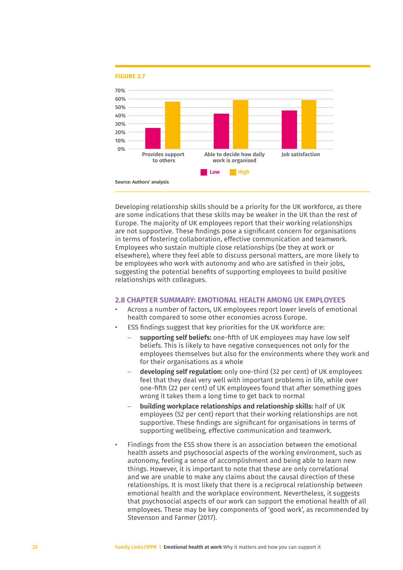<span id="page-23-0"></span>

Developing relationship skills should be a priority for the UK workforce, as there are some indications that these skills may be weaker in the UK than the rest of Europe. The majority of UK employees report that their working relationships are not supportive. These findings pose a significant concern for organisations in terms of fostering collaboration, effective communication and teamwork. Employees who sustain multiple close relationships (be they at work or elsewhere), where they feel able to discuss personal matters, are more likely to be employees who work with autonomy and who are satisfied in their jobs, suggesting the potential benefits of supporting employees to build positive relationships with colleagues.

#### **2.8 CHAPTER SUMMARY: EMOTIONAL HEALTH AMONG UK EMPLOYEES**

- Across a number of factors, UK employees report lower levels of emotional health compared to some other economies across Europe.
- ESS findings suggest that key priorities for the UK workforce are:
	- **supporting self beliefs:** one-fifth of UK employees may have low self beliefs. This is likely to have negative consequences not only for the employees themselves but also for the environments where they work and for their organisations as a whole
	- **developing self regulation:** only one-third (32 per cent) of UK employees feel that they deal very well with important problems in life, while over one-fifth (22 per cent) of UK employees found that after something goes wrong it takes them a long time to get back to normal
	- **building workplace relationships and relationship skills:** half of UK employees (52 per cent) report that their working relationships are not supportive. These findings are significant for organisations in terms of supporting wellbeing, effective communication and teamwork.
- Findings from the ESS show there is an association between the emotional health assets and psychosocial aspects of the working environment, such as autonomy, feeling a sense of accomplishment and being able to learn new things. However, it is important to note that these are only correlational and we are unable to make any claims about the causal direction of these relationships. It is most likely that there is a reciprocal relationship between emotional health and the workplace environment. Nevertheless, it suggests that psychosocial aspects of our work can support the emotional health of all employees. These may be key components of 'good work', as recommended by Stevenson and Farmer (2017).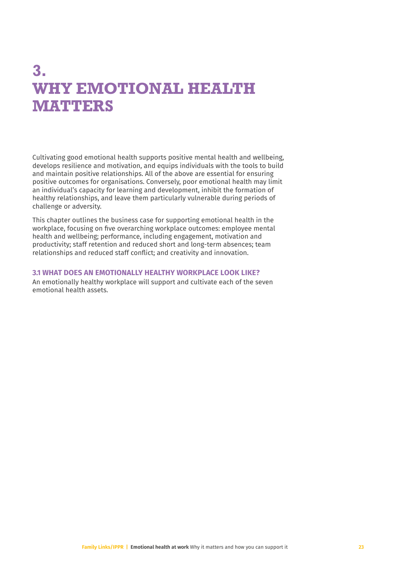# <span id="page-24-0"></span>**3. WHY EMOTIONAL HEALTH MATTERS**

Cultivating good emotional health supports positive mental health and wellbeing, develops resilience and motivation, and equips individuals with the tools to build and maintain positive relationships. All of the above are essential for ensuring positive outcomes for organisations. Conversely, poor emotional health may limit an individual's capacity for learning and development, inhibit the formation of healthy relationships, and leave them particularly vulnerable during periods of challenge or adversity.

This chapter outlines the business case for supporting emotional health in the workplace, focusing on five overarching workplace outcomes: employee mental health and wellbeing; performance, including engagement, motivation and productivity; staff retention and reduced short and long-term absences; team relationships and reduced staff conflict; and creativity and innovation.

#### **3.1 WHAT DOES AN EMOTIONALLY HEALTHY WORKPLACE LOOK LIKE?**

An emotionally healthy workplace will support and cultivate each of the seven emotional health assets.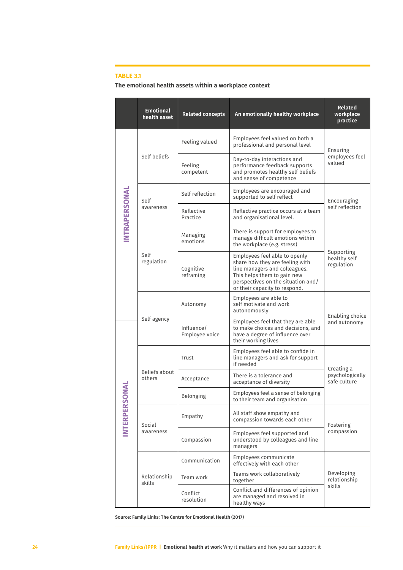#### **TABLE 3.1**

**The emotional health assets within a workplace context**

|                  | <b>Emotional</b><br>health asset | <b>Related concepts</b>                                      | An emotionally healthy workplace                                                                                                                                                                        | <b>Related</b><br>workplace<br>practice       |
|------------------|----------------------------------|--------------------------------------------------------------|---------------------------------------------------------------------------------------------------------------------------------------------------------------------------------------------------------|-----------------------------------------------|
|                  |                                  | Feeling valued                                               | Employees feel valued on both a<br>professional and personal level                                                                                                                                      | Ensuring                                      |
|                  | Self beliefs                     | Feeling<br>competent                                         | Day-to-day interactions and<br>performance feedback supports<br>and promotes healthy self beliefs<br>and sense of competence                                                                            | employees feel<br>valued                      |
|                  | Self                             | Self reflection                                              | Employees are encouraged and<br>supported to self reflect                                                                                                                                               | Encouraging                                   |
| INTRAPERSONAL    | awareness                        | Reflective<br>Practice                                       | Reflective practice occurs at a team<br>and organisational level.                                                                                                                                       | self reflection                               |
|                  |                                  | Managing<br>emotions                                         | There is support for employees to<br>manage difficult emotions within<br>the workplace (e.g. stress)                                                                                                    |                                               |
|                  | Self<br>regulation               | Cognitive<br>reframing                                       | Employees feel able to openly<br>share how they are feeling with<br>line managers and colleagues.<br>This helps them to gain new<br>perspectives on the situation and/<br>or their capacity to respond. | Supporting<br>healthy self<br>regulation      |
|                  | Autonomy                         |                                                              | Employees are able to<br>self motivate and work<br>autonomously                                                                                                                                         |                                               |
|                  | Self agency                      | Influence/<br>Employee voice                                 | Employees feel that they are able<br>to make choices and decisions, and<br>have a degree of influence over<br>their working lives                                                                       | Enabling choice<br>and autonomy               |
|                  |                                  | Trust                                                        | Employees feel able to confide in<br>line managers and ask for support<br>if needed                                                                                                                     |                                               |
|                  | Beliefs about<br>others          | Acceptance                                                   | There is a tolerance and<br>acceptance of diversity                                                                                                                                                     | Creating a<br>psychologically<br>safe culture |
| <b>UNNO</b>      |                                  | Belonging                                                    | Employees feel a sense of belonging<br>to their team and organisation                                                                                                                                   |                                               |
| <b>INTERPERS</b> | Social                           | Empathy                                                      | All staff show empathy and<br>compassion towards each other                                                                                                                                             | Fostering                                     |
|                  | awareness                        | Compassion                                                   | Employees feel supported and<br>understood by colleagues and line<br>managers                                                                                                                           | compassion                                    |
|                  |                                  | Communication                                                | Employees communicate<br>effectively with each other                                                                                                                                                    |                                               |
|                  | Relationship<br>skills           | Team work                                                    | Teams work collaboratively<br>together                                                                                                                                                                  | Developing<br>relationship                    |
|                  |                                  | Conflict<br>resolution                                       | Conflict and differences of opinion<br>are managed and resolved in<br>healthy ways                                                                                                                      | skills                                        |
|                  |                                  | Source: Family Links: The Centre for Emotional Health (2017) |                                                                                                                                                                                                         |                                               |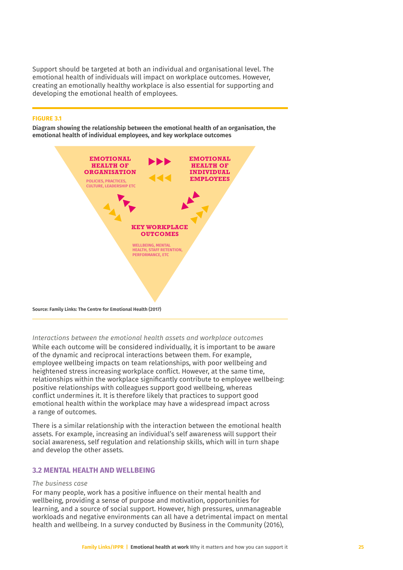Support should be targeted at both an individual and organisational level. The emotional health of individuals will impact on workplace outcomes. However, creating an emotionally healthy workplace is also essential for supporting and developing the emotional health of employees.

#### **FIGURE 3.1**

**Diagram showing the relationship between the emotional health of an organisation, the emotional health of individual employees, and key workplace outcomes**



*Interactions between the emotional health assets and workplace outcomes* While each outcome will be considered individually, it is important to be aware of the dynamic and reciprocal interactions between them. For example, employee wellbeing impacts on team relationships, with poor wellbeing and heightened stress increasing workplace conflict. However, at the same time, relationships within the workplace significantly contribute to employee wellbeing: positive relationships with colleagues support good wellbeing, whereas conflict undermines it. It is therefore likely that practices to support good emotional health within the workplace may have a widespread impact across a range of outcomes.

There is a similar relationship with the interaction between the emotional health assets. For example, increasing an individual's self awareness will support their social awareness, self regulation and relationship skills, which will in turn shape and develop the other assets.

#### **3.2 MENTAL HEALTH AND WELLBEING**

#### *The business case*

For many people, work has a positive influence on their mental health and wellbeing, providing a sense of purpose and motivation, opportunities for learning, and a source of social support. However, high pressures, unmanageable workloads and negative environments can all have a detrimental impact on mental health and wellbeing. In a survey conducted by Business in the Community (2016),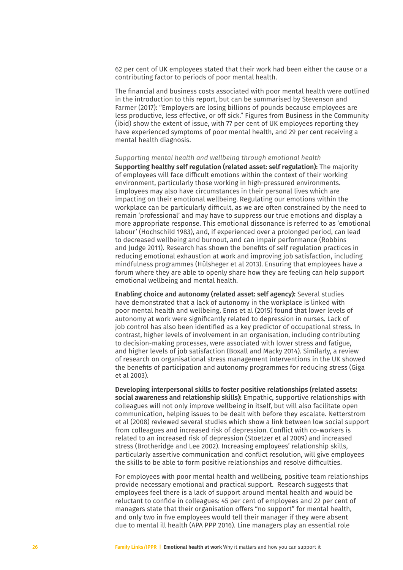<span id="page-27-0"></span>62 per cent of UK employees stated that their work had been either the cause or a contributing factor to periods of poor mental health.

The financial and business costs associated with poor mental health were outlined in the introduction to this report, but can be summarised by Stevenson and Farmer (2017): "Employers are losing billions of pounds because employees are less productive, less effective, or off sick." Figures from Business in the Community (ibid) show the extent of issue, with 77 per cent of UK employees reporting they have experienced symptoms of poor mental health, and 29 per cent receiving a mental health diagnosis.

#### *Supporting mental health and wellbeing through emotional health*

**Supporting healthy self regulation (related asset: self regulation):** The majority of employees will face difficult emotions within the context of their working environment, particularly those working in high-pressured environments. Employees may also have circumstances in their personal lives which are impacting on their emotional wellbeing. Regulating our emotions within the workplace can be particularly difficult, as we are often constrained by the need to remain 'professional' and may have to suppress our true emotions and display a more appropriate response. This emotional dissonance is referred to as 'emotional labour' (Hochschild 1983), and, if experienced over a prolonged period, can lead to decreased wellbeing and burnout, and can impair performance (Robbins and Judge 2011). Research has shown the benefits of self regulation practices in reducing emotional exhaustion at work and improving job satisfaction, including mindfulness programmes (Hülsheger et al 2013). Ensuring that employees have a forum where they are able to openly share how they are feeling can help support emotional wellbeing and mental health.

**Enabling choice and autonomy (related asset: self agency):** Several studies have demonstrated that a lack of autonomy in the workplace is linked with poor mental health and wellbeing. Enns et al (2015) found that lower levels of autonomy at work were significantly related to depression in nurses. Lack of job control has also been identified as a key predictor of occupational stress. In contrast, higher levels of involvement in an organisation, including contributing to decision-making processes, were associated with lower stress and fatigue, and higher levels of job satisfaction (Boxall and Macky 2014). Similarly, a review of research on organisational stress management interventions in the UK showed the benefits of participation and autonomy programmes for reducing stress (Giga et al 2003).

**Developing interpersonal skills to foster positive relationships (related assets: social awareness and relationship skills):** Empathic, supportive relationships with colleagues will not only improve wellbeing in itself, but will also facilitate open communication, helping issues to be dealt with before they escalate. Netterstrom et al [\(2008\)](http://onlinelibrary.wiley.com.ezproxye.bham.ac.uk/doi/10.1002/casp.2121/full#casp2121-bib-0031) reviewed several studies which show a link between low social support from colleagues and increased risk of depression. Conflict with co-workers is related to an increased risk of depression (Stoetzer et al 2009) and increased stress (Brotheridge and Lee 2002). Increasing employees' relationship skills, particularly assertive communication and conflict resolution, will give employees the skills to be able to form positive relationships and resolve difficulties.

For employees with poor mental health and wellbeing, positive team relationships provide necessary emotional and practical support. Research suggests that employees feel there is a lack of support around mental health and would be reluctant to confide in colleagues: 45 per cent of employees and 22 per cent of managers state that their organisation offers "no support" for mental health, and only two in five employees would tell their manager if they were absent due to mental ill health (APA PPP 2016). Line managers play an essential role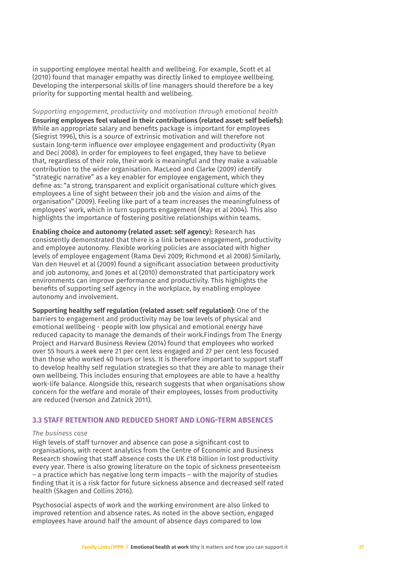in supporting employee mental health and wellbeing. For example, Scott et al (2010) found that manager empathy was directly linked to employee wellbeing. Developing the interpersonal skills of line managers should therefore be a key priority for supporting mental health and wellbeing.

*Supporting engagement, productivity and motivation through emotional health* **Ensuring employees feel valued in their contributions (related asset: self beliefs):**  While an appropriate salary and benefits package is important for employees (Siegrist 1996), this is a source of extrinsic motivation and will therefore not sustain long-term influence over employee engagement and productivity (Ryan and Deci 2008). In order for employees to feel engaged, they have to believe that, regardless of their role, their work is meaningful and they make a valuable contribution to the wider organisation. MacLeod and Clarke (2009) identify "strategic narrative" as a key enabler for employee engagement, which they define as: "a strong, transparent and explicit organisational culture which gives employees a line of sight between their job and the vision and aims of the organisation" (2009). Feeling like part of a team increases the meaningfulness of employees' work, which in turn supports engagement (May et al 2004). This also highlights the importance of fostering positive relationships within teams.

**Enabling choice and autonomy (related asset: self agency**): Research has consistently demonstrated that there is a link between engagement, productivity and employee autonomy. Flexible working policies are associated with higher levels of employee engagement (Rama Devi 2009; Richmond et al 2008) Similarly, Van den Heuvel et al (2009) found a significant association between productivity and job autonomy, and Jones et al (2010) demonstrated that participatory work environments can improve performance and productivity. This highlights the benefits of supporting self agency in the workplace, by enabling employee autonomy and involvement.

**Supporting healthy self regulation (related asset: self regulation):** One of the barriers to engagement and productivity may be low levels of physical and emotional wellbeing - people with low physical and emotional energy have reduced capacity to manage the demands of their work.Findings from The Energy Project and Harvard Business Review (2014) found that employees who worked over 55 hours a week were 21 per cent less engaged and 27 per cent less focused than those who worked 40 hours or less. It is therefore important to support staff to develop healthy self regulation strategies so that they are able to manage their own wellbeing. This includes ensuring that employees are able to have a healthy work-life balance. Alongside this, research suggests that when organisations show concern for the welfare and morale of their employees, losses from productivity are reduced (Iverson and Zatnick 2011).

#### **3.3 STAFF RETENTION AND REDUCED SHORT AND LONG-TERM ABSENCES**

#### *The business case*

High levels of staff turnover and absence can pose a significant cost to organisations, with recent analytics from the Centre of Economic and Business Research showing that staff absence costs the UK £18 billion in lost productivity every year. There is also growing literature on the topic of sickness presenteeism – a practice which has negative long term impacts – with the majority of studies finding that it is a risk factor for future sickness absence and decreased self rated health (Skagen and Collins 2016).

Psychosocial aspects of work and the working environment are also linked to improved retention and absence rates. As noted in the above section, engaged employees have around half the amount of absence days compared to low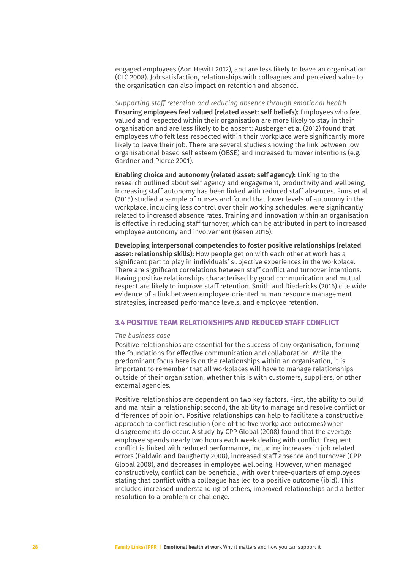<span id="page-29-0"></span>engaged employees (Aon Hewitt 2012), and are less likely to leave an organisation (CLC 2008). Job satisfaction, relationships with colleagues and perceived value to the organisation can also impact on retention and absence.

*Supporting staff retention and reducing absence through emotional health* **Ensuring employees feel valued (related asset: self beliefs):** Employees who feel valued and respected within their organisation are more likely to stay in their organisation and are less likely to be absent: Ausberger et al (2012) found that employees who felt less respected within their workplace were significantly more likely to leave their job. There are several studies showing the link between low organisational based self esteem (OBSE) and increased turnover intentions (e.g. Gardner and Pierce 2001).

**Enabling choice and autonomy (related asset: self agency):** Linking to the research outlined about self agency and engagement, productivity and wellbeing, increasing staff autonomy has been linked with reduced staff absences. Enns et al (2015) studied a sample of nurses and found that lower levels of autonomy in the workplace, including less control over their working schedules, were significantly related to increased absence rates. Training and innovation within an organisation is effective in reducing staff turnover, which can be attributed in part to increased employee autonomy and involvement (Kesen 2016).

**Developing interpersonal competencies to foster positive relationships (related asset: relationship skills):** How people get on with each other at work has a significant part to play in individuals' subjective experiences in the workplace. There are significant correlations between staff conflict and turnover intentions. Having positive relationships characterised by good communication and mutual respect are likely to improve staff retention. Smith and Diedericks (2016) cite wide evidence of a link between employee-oriented human resource management strategies, increased performance levels, and employee retention.

#### **3.4 POSITIVE TEAM RELATIONSHIPS AND REDUCED STAFF CONFLICT**

#### *The business case*

Positive relationships are essential for the success of any organisation, forming the foundations for effective communication and collaboration. While the predominant focus here is on the relationships within an organisation, it is important to remember that all workplaces will have to manage relationships outside of their organisation, whether this is with customers, suppliers, or other external agencies.

Positive relationships are dependent on two key factors. First, the ability to build and maintain a relationship; second, the ability to manage and resolve conflict or differences of opinion. Positive relationships can help to facilitate a constructive approach to conflict resolution (one of the five workplace outcomes) when disagreements do occur. A study by CPP Global (2008) found that the average employee spends nearly two hours each week dealing with conflict. Frequent conflict is linked with reduced performance, including increases in job related errors (Baldwin and Daugherty 2008), increased staff absence and turnover (CPP Global 2008), and decreases in employee wellbeing. However, when managed constructively, conflict can be beneficial, with over three-quarters of employees stating that conflict with a colleague has led to a positive outcome (ibid). This included increased understanding of others, improved relationships and a better resolution to a problem or challenge.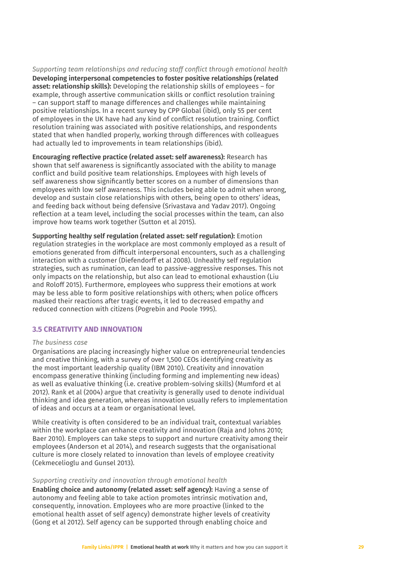#### <span id="page-30-0"></span>*Supporting team relationships and reducing staff conflict through emotional health*

**Developing interpersonal competencies to foster positive relationships (related asset: relationship skills):** Developing the relationship skills of employees – for example, through assertive communication skills or conflict resolution training – can support staff to manage differences and challenges while maintaining positive relationships. In a recent survey by CPP Global (ibid), only 55 per cent of employees in the UK have had any kind of conflict resolution training. Conflict resolution training was associated with positive relationships, and respondents stated that when handled properly, working through differences with colleagues had actually led to improvements in team relationships (ibid).

**Encouraging reflective practice (related asset: self awareness):** Research has shown that self awareness is significantly associated with the ability to manage conflict and build positive team relationships. Employees with high levels of self awareness show significantly better scores on a number of dimensions than employees with low self awareness. This includes being able to admit when wrong, develop and sustain close relationships with others, being open to others' ideas, and feeding back without being defensive (Srivastava and Yadav 2017). Ongoing reflection at a team level, including the social processes within the team, can also improve how teams work together (Sutton et al 2015).

**Supporting healthy self regulation (related asset: self regulation):** Emotion regulation strategies in the workplace are most commonly employed as a result of emotions generated from difficult interpersonal encounters, such as a challenging interaction with a customer (Diefendorff et al 2008). Unhealthy self regulation strategies, such as rumination, can lead to passive-aggressive responses. This not only impacts on the relationship, but also can lead to emotional exhaustion (Liu and Roloff 2015). Furthermore, employees who suppress their emotions at work may be less able to form positive relationships with others; when police officers masked their reactions after tragic events, it led to decreased empathy and reduced connection with citizens (Pogrebin and Poole 1995).

#### **3.5 CREATIVITY AND INNOVATION**

#### *The business case*

Organisations are placing increasingly higher value on entrepreneurial tendencies and creative thinking, with a survey of over 1,500 CEOs identifying creativity as the most important leadership quality (IBM 2010). Creativity and innovation encompass generative thinking (including forming and implementing new ideas) as well as evaluative thinking (i.e. creative problem-solving skills) (Mumford et al 2012). Rank et al (2004) argue that creativity is generally used to denote individual thinking and idea generation, whereas innovation usually refers to implementation of ideas and occurs at a team or organisational level.

While creativity is often considered to be an individual trait, contextual variables within the workplace can enhance creativity and innovation (Raja and Johns 2010; Baer 2010). Employers can take steps to support and nurture creativity among their employees (Anderson et al 2014), and research suggests that the organisational culture is more closely related to innovation than levels of employee creativity (Cekmecelioglu and Gunsel 2013).

#### *Supporting creativity and innovation through emotional health*

**Enabling choice and autonomy (related asset: self agency):** Having a sense of autonomy and feeling able to take action promotes intrinsic motivation and, consequently, innovation. Employees who are more proactive (linked to the emotional health asset of self agency) demonstrate higher levels of creativity (Gong et al 2012). Self agency can be supported through enabling choice and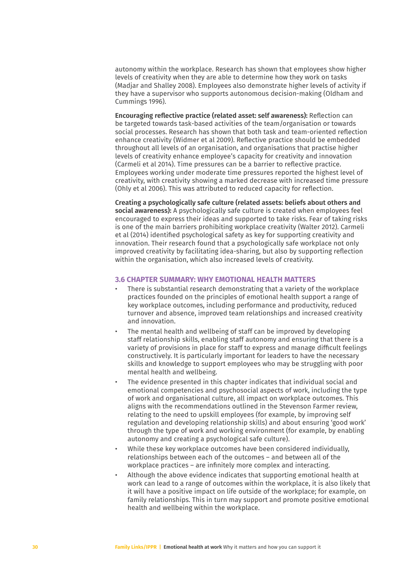<span id="page-31-0"></span>autonomy within the workplace. Research has shown that employees show higher levels of creativity when they are able to determine how they work on tasks (Madjar and Shalley 2008). Employees also demonstrate higher levels of activity if they have a supervisor who supports autonomous decision-making (Oldham and Cummings 1996).

**Encouraging reflective practice (related asset: self awareness):** Reflection can be targeted towards task-based activities of the team/organisation or towards social processes. Research has shown that both task and team-oriented reflection enhance creativity (Widmer et al 2009). Reflective practice should be embedded throughout all levels of an organisation, and organisations that practise higher levels of creativity enhance employee's capacity for creativity and innovation (Carmeli et al 2014). Time pressures can be a barrier to reflective practice. Employees working under moderate time pressures reported the highest level of creativity, with creativity showing a marked decrease with increased time pressure (Ohly et al 2006). This was attributed to reduced capacity for reflection.

**Creating a psychologically safe culture (related assets: beliefs about others and social awareness):** A psychologically safe culture is created when employees feel encouraged to express their ideas and supported to take risks. Fear of taking risks is one of the main barriers prohibiting workplace creativity (Walter 2012). Carmeli et al (2014) identified psychological safety as key for supporting creativity and innovation. Their research found that a psychologically safe workplace not only improved creativity by facilitating idea-sharing, but also by supporting reflection within the organisation, which also increased levels of creativity.

#### **3.6 CHAPTER SUMMARY: WHY EMOTIONAL HEALTH MATTERS**

- There is substantial research demonstrating that a variety of the workplace practices founded on the principles of emotional health support a range of key workplace outcomes, including performance and productivity, reduced turnover and absence, improved team relationships and increased creativity and innovation.
- The mental health and wellbeing of staff can be improved by developing staff relationship skills, enabling staff autonomy and ensuring that there is a variety of provisions in place for staff to express and manage difficult feelings constructively. It is particularly important for leaders to have the necessary skills and knowledge to support employees who may be struggling with poor mental health and wellbeing.
- The evidence presented in this chapter indicates that individual social and emotional competencies and psychosocial aspects of work, including the type of work and organisational culture, all impact on workplace outcomes. This aligns with the recommendations outlined in the Stevenson Farmer review, relating to the need to upskill employees (for example, by improving self regulation and developing relationship skills) and about ensuring 'good work' through the type of work and working environment (for example, by enabling autonomy and creating a psychological safe culture).
- While these key workplace outcomes have been considered individually. relationships between each of the outcomes – and between all of the workplace practices – are infinitely more complex and interacting.
- Although the above evidence indicates that supporting emotional health at work can lead to a range of outcomes within the workplace, it is also likely that it will have a positive impact on life outside of the workplace; for example, on family relationships. This in turn may support and promote positive emotional health and wellbeing within the workplace.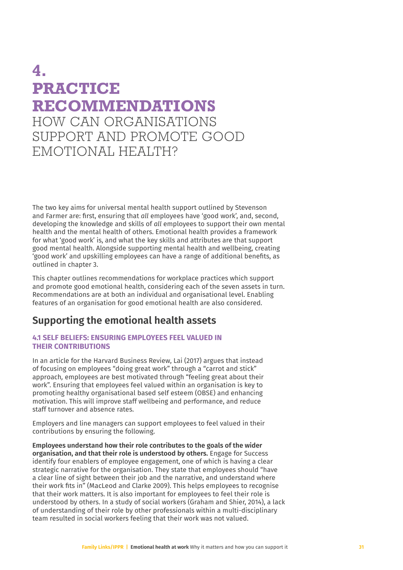### **4. PRACTICE RECOMMENDATIONS** HOW CAN ORGANISATIONS SUPPORT AND PROMOTE GOOD EMOTIONAL HEALTH?

The two key aims for universal mental health support outlined by Stevenson and Farmer are: first, ensuring that *all* employees have 'good work', and, second, developing the knowledge and skills of *all* employees to support their own mental health and the mental health of others. Emotional health provides a framework for what 'good work' is, and what the key skills and attributes are that support good mental health. Alongside supporting mental health and wellbeing, creating 'good work' and upskilling employees can have a range of additional benefits, as outlined in chapter 3.

This chapter outlines recommendations for workplace practices which support and promote good emotional health, considering each of the seven assets in turn. Recommendations are at both an individual and organisational level. Enabling features of an organisation for good emotional health are also considered.

### **Supporting the emotional health assets**

#### **4.1 SELF BELIEFS: ENSURING EMPLOYEES FEEL VALUED IN THEIR CONTRIBUTIONS**

In an article for the Harvard Business Review, Lai (2017) argues that instead of focusing on employees "doing great work" through a "carrot and stick" approach*,* employees are best motivated through "feeling great about their work". Ensuring that employees feel valued within an organisation is key to promoting healthy organisational based self esteem (OBSE) and enhancing motivation. This will improve staff wellbeing and performance, and reduce staff turnover and absence rates.

Employers and line managers can support employees to feel valued in their contributions by ensuring the following.

**Employees understand how their role contributes to the goals of the wider organisation, and that their role is understood by others.** Engage for Success identify four enablers of employee engagement, one of which is having a clear strategic narrative for the organisation. They state that employees should "have a clear line of sight between their job and the narrative, and understand where their work fits in" (MacLeod and Clarke 2009). This helps employees to recognise that their work matters. It is also important for employees to feel their role is understood by others. In a study of social workers (Graham and Shier, 2014), a lack of understanding of their role by other professionals within a multi-disciplinary team resulted in social workers feeling that their work was not valued.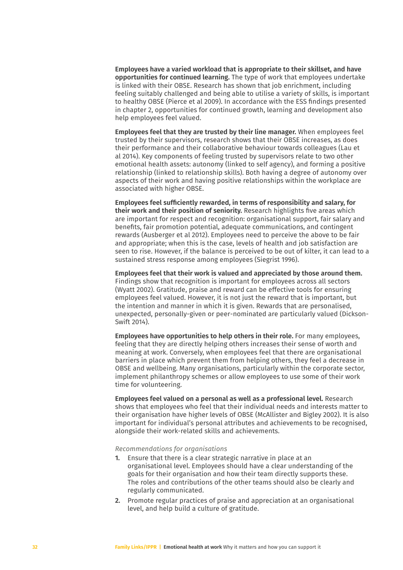<span id="page-33-0"></span>**Employees have a varied workload that is appropriate to their skillset, and have opportunities for continued learning.** The type of work that employees undertake is linked with their OBSE. Research has shown that job enrichment, including feeling suitably challenged and being able to utilise a variety of skills, is important to healthy OBSE (Pierce et al 2009). In accordance with the ESS findings presented in chapter 2, opportunities for continued growth, learning and development also help employees feel valued.

**Employees feel that they are trusted by their line manager.** When employees feel trusted by their supervisors, research shows that their OBSE increases, as does their performance and their collaborative behaviour towards colleagues (Lau et al 2014). Key components of feeling trusted by supervisors relate to two other emotional health assets: autonomy (linked to self agency), and forming a positive relationship (linked to relationship skills). Both having a degree of autonomy over aspects of their work and having positive relationships within the workplace are associated with higher OBSE.

**Employees feel sufficiently rewarded, in terms of responsibility and salary, for their work and their position of seniority.** Research highlights five areas which are important for respect and recognition: organisational support, fair salary and benefits, fair promotion potential, adequate communications, and contingent rewards (Ausberger et al 2012). Employees need to perceive the above to be fair and appropriate; when this is the case, levels of health and job satisfaction are seen to rise. However, if the balance is perceived to be out of kilter, it can lead to a sustained stress response among employees (Siegrist 1996).

**Employees feel that their work is valued and appreciated by those around them.** Findings show that recognition is important for employees across all sectors (Wyatt 2002). Gratitude, praise and reward can be effective tools for ensuring employees feel valued. However, it is not just the reward that is important, but the intention and manner in which it is given. Rewards that are personalised, unexpected, personally-given or peer-nominated are particularly valued (Dickson-Swift 2014).

**Employees have opportunities to help others in their role.** For many employees, feeling that they are directly helping others increases their sense of worth and meaning at work. Conversely, when employees feel that there are organisational barriers in place which prevent them from helping others, they feel a decrease in OBSE and wellbeing. Many organisations, particularly within the corporate sector, implement philanthropy schemes or allow employees to use some of their work time for volunteering.

**Employees feel valued on a personal as well as a professional level.** Research shows that employees who feel that their individual needs and interests matter to their organisation have higher levels of OBSE (McAllister and Bigley 2002). It is also important for individual's personal attributes and achievements to be recognised, alongside their work-related skills and achievements.

*Recommendations for organisations*

- **1.** Ensure that there is a clear strategic narrative in place at an organisational level. Employees should have a clear understanding of the goals for their organisation and how their team directly supports these. The roles and contributions of the other teams should also be clearly and regularly communicated.
- **2.** Promote regular practices of praise and appreciation at an organisational level, and help build a culture of gratitude.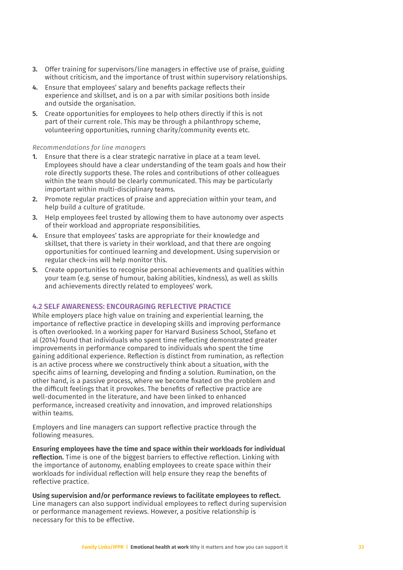- **3.** Offer training for supervisors/line managers in effective use of praise, guiding without criticism, and the importance of trust within supervisory relationships.
- **4.** Ensure that employees' salary and benefits package reflects their experience and skillset, and is on a par with similar positions both inside and outside the organisation.
- **5.** Create opportunities for employees to help others directly if this is not part of their current role. This may be through a philanthropy scheme, volunteering opportunities, running charity/community events etc.

#### *Recommendations for line managers*

- **1.** Ensure that there is a clear strategic narrative in place at a team level. Employees should have a clear understanding of the team goals and how their role directly supports these. The roles and contributions of other colleagues within the team should be clearly communicated. This may be particularly important within multi-disciplinary teams.
- **2.** Promote regular practices of praise and appreciation within your team, and help build a culture of gratitude.
- **3.** Help employees feel trusted by allowing them to have autonomy over aspects of their workload and appropriate responsibilities.
- **4.** Ensure that employees' tasks are appropriate for their knowledge and skillset, that there is variety in their workload, and that there are ongoing opportunities for continued learning and development. Using supervision or regular check-ins will help monitor this.
- **5.** Create opportunities to recognise personal achievements and qualities within your team (e.g. sense of humour, baking abilities, kindness), as well as skills and achievements directly related to employees' work.

#### **4.2 SELF AWARENESS: ENCOURAGING REFLECTIVE PRACTICE**

While employers place high value on training and experiential learning, the importance of reflective practice in developing skills and improving performance is often overlooked. In a working paper for Harvard Business School, Stefano et al (2014) found that individuals who spent time reflecting demonstrated greater improvements in performance compared to individuals who spent the time gaining additional experience. Reflection is distinct from rumination, as reflection is an active process where we constructively think about a situation, with the specific aims of learning, developing and finding a solution. Rumination, on the other hand, is a passive process, where we become fixated on the problem and the difficult feelings that it provokes. The benefits of reflective practice are well-documented in the literature, and have been linked to enhanced performance, increased creativity and innovation, and improved relationships within teams.

Employers and line managers can support reflective practice through the following measures.

**Ensuring employees have the time and space within their workloads for individual reflection.** Time is one of the biggest barriers to effective reflection. Linking with the importance of autonomy, enabling employees to create space within their workloads for individual reflection will help ensure they reap the benefits of reflective practice.

**Using supervision and/or performance reviews to facilitate employees to reflect.** Line managers can also support individual employees to reflect during supervision or performance management reviews. However, a positive relationship is necessary for this to be effective.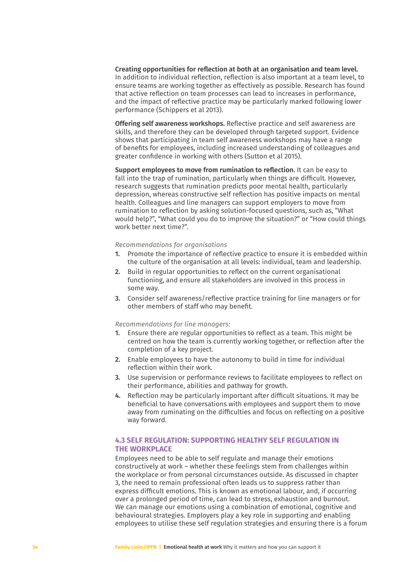<span id="page-35-0"></span>**Creating opportunities for reflection at both at an organisation and team level.** In addition to individual reflection, reflection is also important at a team level, to ensure teams are working together as effectively as possible. Research has found that active reflection on team processes can lead to increases in performance, and the impact of reflective practice may be particularly marked following lower performance (Schippers et al 2013).

**Offering self awareness workshops.** Reflective practice and self awareness are skills, and therefore they can be developed through targeted support. Evidence shows that participating in team self awareness workshops may have a range of benefits for employees, including increased understanding of colleagues and greater confidence in working with others (Sutton et al 2015).

**Support employees to move from rumination to reflection.** It can be easy to fall into the trap of rumination, particularly when things are difficult. [However,](http://sonjalyubomirsky.com/wp-content/themes/sonjalyubomirsky/papers/NWL2008.pdf) research suggests that rumination predicts poor mental health, particularly depression, whereas constructive self reflection has positive impacts on mental health. Colleagues and line managers can support employers to move from rumination to reflection by asking solution-focused questions, such as, "What would help?", "What could you do to improve the situation?" or "How could things work better next time?".

#### *Recommendations for organisations*

- **1.** Promote the importance of reflective practice to ensure it is embedded within the culture of the organisation at all levels: individual, team and leadership.
- **2.** Build in regular opportunities to reflect on the current organisational functioning, and ensure all stakeholders are involved in this process in some way.
- **3.** Consider self awareness/reflective practice training for line managers or for other members of staff who may benefit.

#### *Recommendations for line managers:*

- **1.** Ensure there are regular opportunities to reflect as a team. This might be centred on how the team is currently working together, or reflection after the completion of a key project.
- **2.** Enable employees to have the autonomy to build in time for individual reflection within their work.
- **3.** Use supervision or performance reviews to facilitate employees to reflect on their performance, abilities and pathway for growth.
- **4.** Reflection may be particularly important after difficult situations. It may be beneficial to have conversations with employees and support them to move away from ruminating on the difficulties and focus on reflecting on a positive way forward.

#### **4.3 SELF REGULATION: SUPPORTING HEALTHY SELF REGULATION IN THE WORKPLACE**

Employees need to be able to self regulate and manage their emotions constructively at work – whether these feelings stem from challenges within the workplace or from personal circumstances outside. As discussed in chapter 3, the need to remain professional often leads us to suppress rather than express difficult emotions. This is known as emotional labour, and, if occurring over a prolonged period of time, can lead to stress, exhaustion and burnout. We can manage our emotions using a combination of emotional, cognitive and behavioural strategies. Employers play a key role in supporting and enabling employees to utilise these self regulation strategies and ensuring there is a forum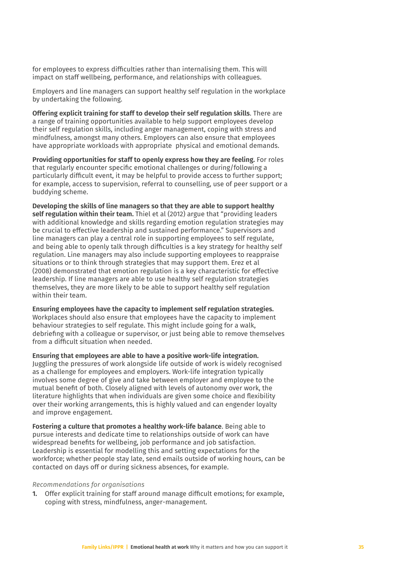<span id="page-36-0"></span>for employees to express difficulties rather than internalising them. This will impact on staff wellbeing, performance, and relationships with colleagues.

Employers and line managers can support healthy self regulation in the workplace by undertaking the following.

**Offering explicit training for staff to develop their self regulation skills**. There are a range of training opportunities available to help support employees develop their self regulation skills, including anger management, coping with stress and mindfulness, amongst many others. Employers can also ensure that employees have appropriate workloads with appropriate physical and emotional demands.

**Providing opportunities for staff to openly express how they are feeling.** For roles that regularly encounter specific emotional challenges or during/following a particularly difficult event, it may be helpful to provide access to further support; for example, access to supervision, referral to counselling, use of peer support or a buddying scheme.

**Developing the skills of line managers so that they are able to support healthy self regulation within their team.** Thiel et al (2012) argue that "providing leaders with additional knowledge and skills regarding emotion regulation strategies may be crucial to effective leadership and sustained performance." Supervisors and line managers can play a central role in supporting employees to self regulate, and being able to openly talk through difficulties is a key strategy for healthy self regulation. Line managers may also include supporting employees to reappraise situations or to think through strategies that may support them. Erez et al (2008) demonstrated that emotion regulation is a key characteristic for effective leadership. If line managers are able to use healthy self regulation strategies themselves, they are more likely to be able to support healthy self regulation within their team.

**Ensuring employees have the capacity to implement self regulation strategies.** Workplaces should also ensure that employees have the capacity to implement behaviour strategies to self regulate. This might include going for a walk, debriefing with a colleague or supervisor, or just being able to remove themselves from a difficult situation when needed.

**Ensuring that employees are able to have a positive work-life integration.** Juggling the pressures of work alongside life outside of work is widely recognised as a challenge for employees and employers. Work-life integration typically involves some degree of give and take between employer and employee to the mutual benefit of both. Closely aligned with levels of autonomy over work, the literature highlights that when individuals are given some choice and flexibility over their working arrangements, this is highly valued and can engender loyalty and improve engagement.

**Fostering a culture that promotes a healthy work-life balance**. Being able to pursue interests and dedicate time to relationships outside of work can have widespread benefits for wellbeing, job performance and job satisfaction. Leadership is essential for modelling this and setting expectations for the workforce; whether people stay late, send emails outside of working hours, can be contacted on days off or during sickness absences, for example.

#### *Recommendations for organisations*

**1.** Offer explicit training for staff around manage difficult emotions; for example, coping with stress, mindfulness, anger-management.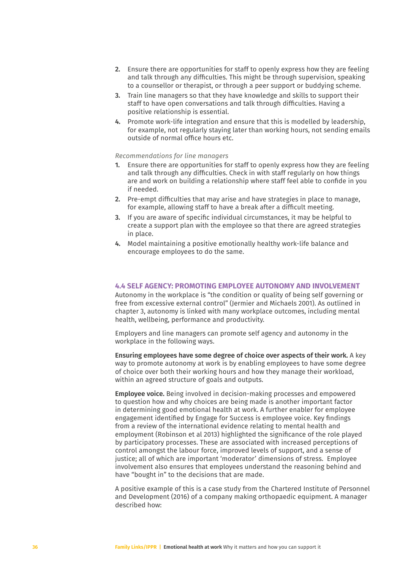- **2.** Ensure there are opportunities for staff to openly express how they are feeling and talk through any difficulties. This might be through supervision, speaking to a counsellor or therapist, or through a peer support or buddying scheme.
- **3.** Train line managers so that they have knowledge and skills to support their staff to have open conversations and talk through difficulties. Having a positive relationship is essential.
- **4.** Promote work-life integration and ensure that this is modelled by leadership, for example, not regularly staying later than working hours, not sending emails outside of normal office hours etc.

#### *Recommendations for line managers*

- **1.** Ensure there are opportunities for staff to openly express how they are feeling and talk through any difficulties. Check in with staff regularly on how things are and work on building a relationship where staff feel able to confide in you if needed.
- **2.** Pre-empt difficulties that may arise and have strategies in place to manage, for example, allowing staff to have a break after a difficult meeting.
- **3.** If you are aware of specific individual circumstances, it may be helpful to create a support plan with the employee so that there are agreed strategies in place.
- **4.** Model maintaining a positive emotionally healthy work-life balance and encourage employees to do the same.

#### **4.4 SELF AGENCY: PROMOTING EMPLOYEE AUTONOMY AND INVOLVEMENT**

Autonomy in the workplace is "the condition or quality of being self governing or free from excessive external control" (Jermier and Michaels 2001). As outlined in chapter 3, autonomy is linked with many workplace outcomes, including mental health, wellbeing, performance and productivity.

Employers and line managers can promote self agency and autonomy in the workplace in the following ways.

**Ensuring employees have some degree of choice over aspects of their work.** A key way to promote autonomy at work is by enabling employees to have some degree of choice over both their working hours and how they manage their workload, within an agreed structure of goals and outputs.

**Employee voice.** Being involved in decision-making processes and empowered to question how and why choices are being made is another important factor in determining good emotional health at work. A further enabler for employee engagement identified by Engage for Success is employee voice. Key findings from a review of the international evidence relating to mental health and employment (Robinson et al 2013) highlighted the significance of the role played by participatory processes. These are associated with increased perceptions of control amongst the labour force, improved levels of support, and a sense of justice: all of which are important 'moderator' dimensions of stress. Employee involvement also ensures that employees understand the reasoning behind and have "bought in" to the decisions that are made.

A positive example of this is a case study from the Chartered Institute of Personnel and Development (2016) of a company making orthopaedic equipment. A manager described how: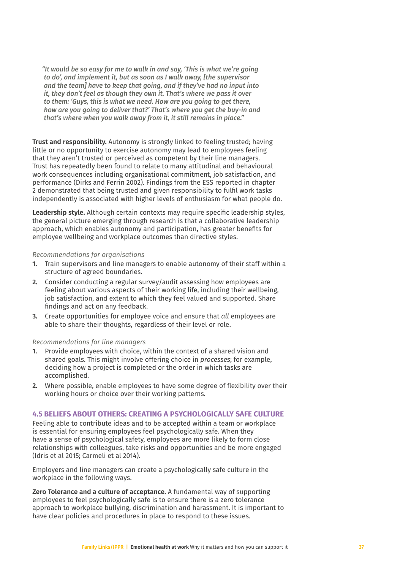<span id="page-38-0"></span>*"It would be so easy for me to walk in and say, 'This is what we're going to do', and implement it, but as soon as I walk away, [the supervisor and the team] have to keep that going, and if they've had no input into it, they don't feel as though they own it. That's where we pass it over to them: 'Guys, this is what we need. How are you going to get there, how are you going to deliver that?' That's where you get the buy-in and that's where when you walk away from it, it still remains in place."* 

**Trust and responsibility.** Autonomy is strongly linked to feeling trusted; having little or no opportunity to exercise autonomy may lead to employees feeling that they aren't trusted or perceived as competent by their line managers. Trust has repeatedly been found to relate to many attitudinal and behavioural work consequences including organisational commitment, job satisfaction, and performance (Dirks and Ferrin 2002). Findings from the ESS reported in chapter 2 demonstrated that being trusted and given responsibility to fulfil work tasks independently is associated with higher levels of enthusiasm for what people do.

**Leadership style.** Although certain contexts may require specific leadership styles, the general picture emerging through research is that a collaborative leadership approach, which enables autonomy and participation, has greater benefits for employee wellbeing and workplace outcomes than directive styles.

#### *Recommendations for organisations*

- **1.** Train supervisors and line managers to enable autonomy of their staff within a structure of agreed boundaries.
- **2.** Consider conducting a regular survey/audit assessing how employees are feeling about various aspects of their working life, including their wellbeing, job satisfaction, and extent to which they feel valued and supported. Share findings and act on any feedback.
- **3.** Create opportunities for employee voice and ensure that *all* employees are able to share their thoughts, regardless of their level or role.

#### *Recommendations for line managers*

- **1.** Provide employees with choice, within the context of a shared vision and shared goals. This might involve offering choice in *processes*; for example, deciding how a project is completed or the order in which tasks are accomplished.
- **2.** Where possible, enable employees to have some degree of flexibility over their working hours or choice over their working patterns.

#### **4.5 BELIEFS ABOUT OTHERS: CREATING A PSYCHOLOGICALLY SAFE CULTURE**

Feeling able to contribute ideas and to be accepted within a team or workplace is essential for ensuring employees feel psychologically safe. When they have a sense of psychological safety, employees are more likely to form close relationships with colleagues, take risks and opportunities and be more engaged (Idris et al 2015; Carmeli et al 2014).

Employers and line managers can create a psychologically safe culture in the workplace in the following ways.

**Zero Tolerance and a culture of acceptance.** A fundamental way of supporting employees to feel psychologically safe is to ensure there is a zero tolerance approach to workplace bullying, discrimination and harassment. It is important to have clear policies and procedures in place to respond to these issues.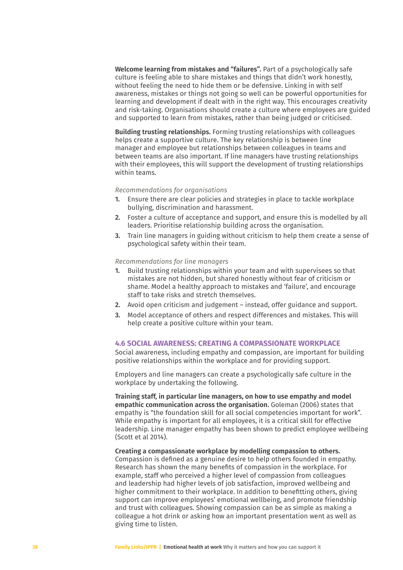<span id="page-39-0"></span>**Welcome learning from mistakes and "failures".** Part of a psychologically safe culture is feeling able to share mistakes and things that didn't work honestly, without feeling the need to hide them or be defensive. Linking in with self awareness, mistakes or things not going so well can be powerful opportunities for learning and development if dealt with in the right way. This encourages creativity and risk-taking. Organisations should create a culture where employees are guided and supported to learn from mistakes, rather than being judged or criticised.

**Building trusting relationships.** Forming trusting relationships with colleagues helps create a supportive culture. The key relationship is between line manager and employee but relationships between colleagues in teams and between teams are also important. If line managers have trusting relationships with their employees, this will support the development of trusting relationships within teams.

#### *Recommendations for organisations*

- **1.** Ensure there are clear policies and strategies in place to tackle workplace bullying, discrimination and harassment.
- **2.** Foster a culture of acceptance and support, and ensure this is modelled by all leaders. Prioritise relationship building across the organisation.
- **3.** Train line managers in guiding without criticism to help them create a sense of psychological safety within their team.

#### *Recommendations for line managers*

- **1.** Build trusting relationships within your team and with supervisees so that mistakes are not hidden, but shared honestly without fear of criticism or shame. Model a healthy approach to mistakes and 'failure', and encourage staff to take risks and stretch themselves.
- **2.** Avoid open criticism and judgement instead, offer guidance and support.
- **3.** Model acceptance of others and respect differences and mistakes. This will help create a positive culture within your team.

#### **4.6 SOCIAL AWARENESS: CREATING A COMPASSIONATE WORKPLACE**

Social awareness, including empathy and compassion, are important for building positive relationships within the workplace and for providing support.

Employers and line managers can create a psychologically safe culture in the workplace by undertaking the following.

**Training staff, in particular line managers, on how to use empathy and model empathic communication across the organisation.** Goleman (2006) states that empathy is "the foundation skill for all social competencies important for work". While empathy is important for all employees, it is a critical skill for effective leadership. Line manager empathy has been shown to predict employee wellbeing (Scott et al 2014).

#### **Creating a compassionate workplace by modelling compassion to others.**

Compassion is defined as a genuine desire to help others founded in empathy. Research has shown the many benefits of compassion in the workplace. For example, staff who perceived a higher level of compassion from colleagues and leadership had higher levels of job satisfaction, improved wellbeing and higher commitment to their workplace. In addition to benefitting others, giving support can improve employees' emotional wellbeing, and promote friendship and trust with colleagues. Showing compassion can be as simple as making a colleague a hot drink or asking how an important presentation went as well as giving time to listen.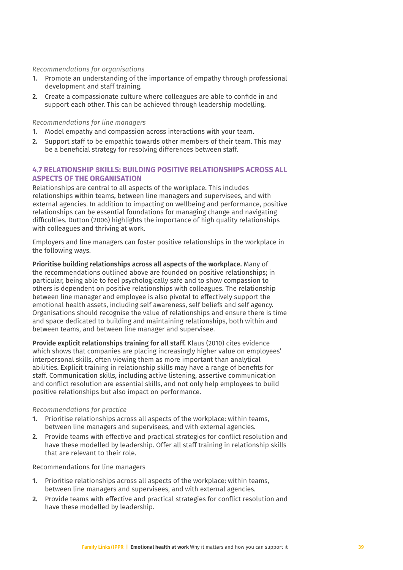#### <span id="page-40-0"></span>*Recommendations for organisations*

- **1.** Promote an understanding of the importance of empathy through professional development and staff training.
- **2.** Create a compassionate culture where colleagues are able to confide in and support each other. This can be achieved through leadership modelling.

#### *Recommendations for line managers*

- **1.** Model empathy and compassion across interactions with your team.
- **2.** Support staff to be empathic towards other members of their team. This may be a beneficial strategy for resolving differences between staff.

#### **4.7 RELATIONSHIP SKILLS: BUILDING POSITIVE RELATIONSHIPS ACROSS ALL ASPECTS OF THE ORGANISATION**

Relationships are central to all aspects of the workplace. This includes relationships within teams, between line managers and supervisees, and with external agencies. In addition to impacting on wellbeing and performance, positive relationships can be essential foundations for managing change and navigating difficulties. Dutton (2006) highlights the importance of high quality relationships with colleagues and thriving at work.

Employers and line managers can foster positive relationships in the workplace in the following ways.

**Prioritise building relationships across all aspects of the workplace.** Many of the recommendations outlined above are founded on positive relationships; in particular, being able to feel psychologically safe and to show compassion to others is dependent on positive relationships with colleagues. The relationship between line manager and employee is also pivotal to effectively support the emotional health assets, including self awareness, self beliefs and self agency. Organisations should recognise the value of relationships and ensure there is time and space dedicated to building and maintaining relationships, both within and between teams, and between line manager and supervisee.

**Provide explicit relationships training for all staff.** Klaus (2010) cites evidence which shows that companies are placing increasingly higher value on employees' interpersonal skills, often viewing them as more important than analytical abilities. Explicit training in relationship skills may have a range of benefits for staff. Communication skills, including active listening, assertive communication and conflict resolution are essential skills, and not only help employees to build positive relationships but also impact on performance.

#### *Recommendations for practice*

- **1.** Prioritise relationships across all aspects of the workplace: within teams, between line managers and supervisees, and with external agencies.
- **2.** Provide teams with effective and practical strategies for conflict resolution and have these modelled by leadership. Offer all staff training in relationship skills that are relevant to their role.

Recommendations for line managers

- **1.** Prioritise relationships across all aspects of the workplace: within teams, between line managers and supervisees, and with external agencies.
- **2.** Provide teams with effective and practical strategies for conflict resolution and have these modelled by leadership.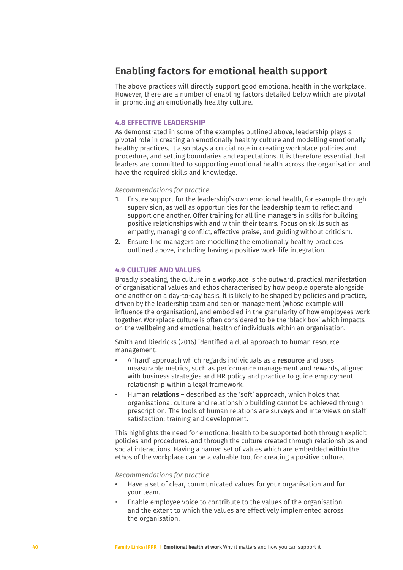### <span id="page-41-0"></span>**Enabling factors for emotional health support**

The above practices will directly support good emotional health in the workplace. However, there are a number of enabling factors detailed below which are pivotal in promoting an emotionally healthy culture.

#### **4.8 EFFECTIVE LEADERSHIP**

As demonstrated in some of the examples outlined above, leadership plays a pivotal role in creating an emotionally healthy culture and modelling emotionally healthy practices. It also plays a crucial role in creating workplace policies and procedure, and setting boundaries and expectations. It is therefore essential that leaders are committed to supporting emotional health across the organisation and have the required skills and knowledge.

#### *Recommendations for practice*

- **1.** Ensure support for the leadership's own emotional health, for example through supervision, as well as opportunities for the leadership team to reflect and support one another. Offer training for all line managers in skills for building positive relationships with and within their teams. Focus on skills such as empathy, managing conflict, effective praise, and guiding without criticism.
- **2.** Ensure line managers are modelling the emotionally healthy practices outlined above, including having a positive work-life integration.

#### **4.9 CULTURE AND VALUES**

Broadly speaking, the culture in a workplace is the outward, practical manifestation of organisational values and ethos characterised by how people operate alongside one another on a day-to-day basis. It is likely to be shaped by policies and practice, driven by the leadership team and senior management (whose example will influence the organisation), and embodied in the granularity of how employees work together. Workplace culture is often considered to be the 'black box' which impacts on the wellbeing and emotional health of individuals within an organisation.

Smith and Diedricks (2016) identified a dual approach to human resource management.

- A 'hard' approach which regards individuals as a **resource** and uses measurable metrics, such as performance management and rewards, aligned with business strategies and HR policy and practice to guide employment relationship within a legal framework.
- Human **relations** described as the 'soft' approach, which holds that organisational culture and relationship building cannot be achieved through prescription. The tools of human relations are surveys and interviews on staff satisfaction; training and development.

This highlights the need for emotional health to be supported both through explicit policies and procedures, and through the culture created through relationships and social interactions. Having a named set of values which are embedded within the ethos of the workplace can be a valuable tool for creating a positive culture.

#### *Recommendations for practice*

- Have a set of clear, communicated values for your organisation and for your team.
- Enable employee voice to contribute to the values of the organisation and the extent to which the values are effectively implemented across the organisation.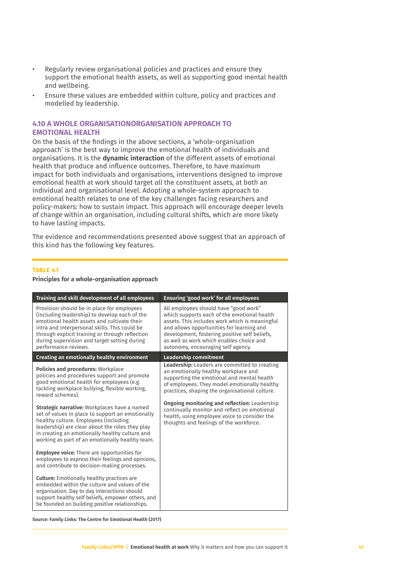- <span id="page-42-0"></span>• Regularly review organisational policies and practices and ensure they support the emotional health assets, as well as supporting good mental health and wellbeing.
- Ensure these values are embedded within culture, policy and practices and modelled by leadership.

#### **4.10 A WHOLE ORGANISATIONORGANISATION APPROACH TO EMOTIONAL HEALTH**

On the basis of the findings in the above sections, a 'whole-organisation approach' is the best way to improve the emotional health of individuals and organisations. It is the **dynamic interaction** of the different assets of emotional health that produce and influence outcomes. Therefore, to have maximum impact for both individuals and organisations, interventions designed to improve emotional health at work should target *all* the constituent assets, at both an individual and organisational level. Adopting a whole-system approach to emotional health relates to one of the key challenges facing researchers and policy-makers: how to sustain impact. This approach will encourage deeper levels of change within an organisation, including cultural shifts, which are more likely to have lasting impacts.

The evidence and recommendations presented above suggest that an approach of this kind has the following key features.

#### **TABLE 4.1**

#### **Principles for a whole-organisation approach**

| Training and skill development of all employees                                                                                                                                                                                                                                                                        | Ensuring 'good work' for all employees                                                                                                                                                                                                                                                                                 |
|------------------------------------------------------------------------------------------------------------------------------------------------------------------------------------------------------------------------------------------------------------------------------------------------------------------------|------------------------------------------------------------------------------------------------------------------------------------------------------------------------------------------------------------------------------------------------------------------------------------------------------------------------|
| Provision should be in place for employees<br>(including leadership) to develop each of the<br>emotional health assets and cultivate their<br>intra and interpersonal skills. This could be<br>through explicit training or through reflection<br>during supervision and target setting during<br>performance reviews. | All employees should have "good work"<br>which supports each of the emotional health<br>assets. This includes work which is meaningful<br>and allows opportunities for learning and<br>development, fostering positive self beliefs,<br>as well as work which enables choice and<br>autonomy, encouraging self agency. |
| Creating an emotionally healthy environment                                                                                                                                                                                                                                                                            | <b>Leadership commitment</b>                                                                                                                                                                                                                                                                                           |
| Policies and procedures: Workplace<br>policies and procedures support and promote<br>good emotional health for employees (e.g.<br>tackling workplace bullying, flexible working,<br>reward schemes).                                                                                                                   | Leadership: Leaders are committed to creating<br>an emotionally healthy workplace and<br>supporting the emotional and mental health<br>of employees. They model emotionally healthy<br>practices, shaping the organisational culture.                                                                                  |
| Strategic narrative: Workplaces have a named<br>set of values in place to support an emotionally<br>healthy culture. Employees (including<br>leadership) are clear about the roles they play<br>in creating an emotionally healthy culture and<br>working as part of an emotionally healthy team.                      | <b>Ongoing monitoring and reflection: Leadership</b><br>continually monitor and reflect on emotional<br>health, using employee voice to consider the<br>thoughts and feelings of the workforce.                                                                                                                        |
| <b>Employee voice:</b> There are opportunities for<br>employees to express their feelings and opinions,<br>and contribute to decision-making processes.                                                                                                                                                                |                                                                                                                                                                                                                                                                                                                        |
| <b>Culture:</b> Emotionally healthy practices are<br>embedded within the culture and values of the<br>organisation. Day to day interactions should<br>support healthy self beliefs, empower others, and<br>be founded on building positive relationships.                                                              |                                                                                                                                                                                                                                                                                                                        |

**Source: Family Links: The Centre for Emotional Health (2017)**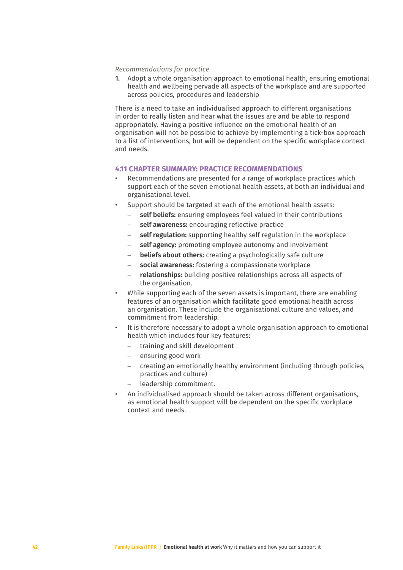#### <span id="page-43-0"></span>*Recommendations for practice*

**1.** Adopt a whole organisation approach to emotional health, ensuring emotional health and wellbeing pervade all aspects of the workplace and are supported across policies, procedures and leadership

There is a need to take an individualised approach to different organisations in order to really listen and hear what the issues are and be able to respond appropriately. Having a positive influence on the emotional health of an organisation will not be possible to achieve by implementing a tick-box approach to a list of interventions, but will be dependent on the specific workplace context and needs.

#### **4.11 CHAPTER SUMMARY: PRACTICE RECOMMENDATIONS**

- Recommendations are presented for a range of workplace practices which support each of the seven emotional health assets, at both an individual and organisational level.
- Support should be targeted at each of the emotional health assets:
	- **self beliefs:** ensuring employees feel valued in their contributions
	- **self awareness:** encouraging reflective practice
	- **self regulation:** supporting healthy self regulation in the workplace
	- **self agency:** promoting employee autonomy and involvement
	- **beliefs about others:** creating a psychologically safe culture
	- **social awareness:** fostering a compassionate workplace
	- **relationships:** building positive relationships across all aspects of the organisation.
- While supporting each of the seven assets is important, there are enabling features of an organisation which facilitate good emotional health across an organisation. These include the organisational culture and values, and commitment from leadership.
- It is therefore necessary to adopt a whole organisation approach to emotional health which includes four key features:
	- training and skill development
	- ensuring good work
	- creating an emotionally healthy environment (including through policies, practices and culture)
	- leadership commitment.
- An individualised approach should be taken across different organisations, as emotional health support will be dependent on the specific workplace context and needs.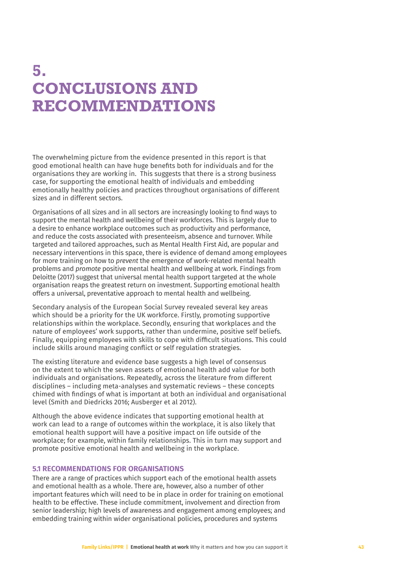# <span id="page-44-0"></span>**5. CONCLUSIONS AND RECOMMENDATIONS**

The overwhelming picture from the evidence presented in this report is that good emotional health can have huge benefits both for individuals and for the organisations they are working in. This suggests that there is a strong business case, for supporting the emotional health of individuals and embedding emotionally healthy policies and practices throughout organisations of different sizes and in different sectors.

Organisations of all sizes and in all sectors are increasingly looking to find ways to support the mental health and wellbeing of their workforces. This is largely due to a desire to enhance workplace outcomes such as productivity and performance, and reduce the costs associated with presenteeism, absence and turnover. While targeted and tailored approaches, such as Mental Health First Aid, are popular and necessary interventions in this space, there is evidence of demand among employees for more training on how to *prevent* the emergence of work-related mental health problems and *promote* positive mental health and wellbeing at work. Findings from Deloitte (2017) suggest that universal mental health support targeted at the whole organisation reaps the greatest return on investment. Supporting emotional health offers a universal, preventative approach to mental health and wellbeing.

Secondary analysis of the European Social Survey revealed several key areas which should be a priority for the UK workforce. Firstly, promoting supportive relationships within the workplace. Secondly, ensuring that workplaces and the nature of employees' work supports, rather than undermine, positive self beliefs. Finally, equipping employees with skills to cope with difficult situations. This could include skills around managing conflict or self regulation strategies.

The existing literature and evidence base suggests a high level of consensus on the extent to which the seven assets of emotional health add value for both individuals and organisations. Repeatedly, across the literature from different disciplines – including meta-analyses and systematic reviews – these concepts chimed with findings of what is important at both an individual and organisational level (Smith and Diedricks 2016; Ausberger et al 2012).

Although the above evidence indicates that supporting emotional health at work can lead to a range of outcomes within the workplace, it is also likely that emotional health support will have a positive impact on life outside of the workplace; for example, within family relationships. This in turn may support and promote positive emotional health and wellbeing in the workplace.

#### **5.1 RECOMMENDATIONS FOR ORGANISATIONS**

There are a range of practices which support each of the emotional health assets and emotional health as a whole. There are, however, also a number of other important features which will need to be in place in order for training on emotional health to be effective. These include commitment, involvement and direction from senior leadership; high levels of awareness and engagement among employees; and embedding training within wider organisational policies, procedures and systems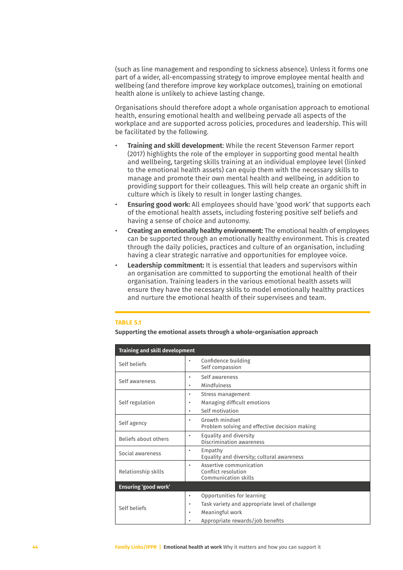<span id="page-45-0"></span>(such as line management and responding to sickness absence). Unless it forms one part of a wider, all-encompassing strategy to improve employee mental health and wellbeing (and therefore improve key workplace outcomes), training on emotional health alone is unlikely to achieve lasting change.

Organisations should therefore adopt a whole organisation approach to emotional health, ensuring emotional health and wellbeing pervade all aspects of the workplace and are supported across policies, procedures and leadership. This will be facilitated by the following.

- **Training and skill development**: While the recent Stevenson Farmer report (2017) highlights the role of the employer in supporting good mental health and wellbeing, targeting skills training at an individual employee level (linked to the emotional health assets) can equip them with the necessary skills to manage and promote their own mental health and wellbeing, in addition to providing support for their colleagues. This will help create an organic shift in culture which is likely to result in longer lasting changes.
- **Ensuring good work:** All employees should have 'good work' that supports each of the emotional health assets, including fostering positive self beliefs and having a sense of choice and autonomy.
- **Creating an emotionally healthy environment:** The emotional health of employees can be supported through an emotionally healthy environment. This is created through the daily policies, practices and culture of an organisation, including having a clear strategic narrative and opportunities for employee voice.
- **Leadership commitment:** It is essential that leaders and supervisors within an organisation are committed to supporting the emotional health of their organisation. Training leaders in the various emotional health assets will ensure they have the necessary skills to model emotionally healthy practices and nurture the emotional health of their supervisees and team.

#### **TABLE 5.1**

**Supporting the emotional assets through a whole-organisation approach** 

| Training and skill development |                                                                                    |
|--------------------------------|------------------------------------------------------------------------------------|
| Self beliefs                   | Confidence building<br>٠<br>Self compassion                                        |
| Self awareness                 | Self awareness<br>٠<br>Mindfulness<br>٠                                            |
| Self regulation                | Stress management<br>٠<br>Managing difficult emotions<br>٠<br>Self motivation<br>٠ |
| Self agency                    | Growth mindset<br>٠<br>Problem solving and effective decision making               |
| Beliefs about others           | Equality and diversity<br>Discrimination awareness                                 |
| Social awareness               | Empathy<br>٠<br>Equality and diversity; cultural awareness                         |
| Relationship skills            | Assertive communication<br>Conflict resolution<br><b>Communication skills</b>      |
| Ensuring 'good work'           |                                                                                    |
|                                | Opportunities for learning<br>٠                                                    |
| Self beliefs                   | Task variety and appropriate level of challenge<br>٠                               |
|                                | Meaningful work<br>٠                                                               |
|                                | Appropriate rewards/job benefits                                                   |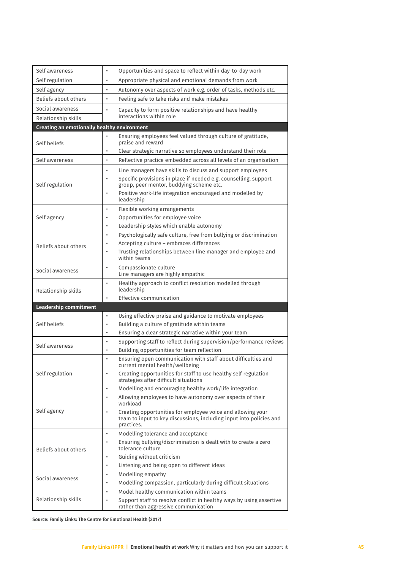| Self awareness                              | $\bullet$              | Opportunities and space to reflect within day-to-day work                                                                                        |
|---------------------------------------------|------------------------|--------------------------------------------------------------------------------------------------------------------------------------------------|
| Self regulation                             | $\bullet$              | Appropriate physical and emotional demands from work                                                                                             |
| Self agency                                 | $\bullet$              | Autonomy over aspects of work e.g. order of tasks, methods etc.                                                                                  |
| Beliefs about others                        | $\bullet$              | Feeling safe to take risks and make mistakes                                                                                                     |
| Social awareness                            | ٠                      | Capacity to form positive relationships and have healthy                                                                                         |
| Relationship skills                         |                        | interactions within role                                                                                                                         |
| Creating an emotionally healthy environment |                        |                                                                                                                                                  |
| Self beliefs                                |                        | Ensuring employees feel valued through culture of gratitude,<br>praise and reward                                                                |
|                                             | $\bullet$              | Clear strategic narrative so employees understand their role                                                                                     |
| Self awareness                              | $\bullet$              | Reflective practice embedded across all levels of an organisation                                                                                |
| Self regulation                             | $\bullet$              | Line managers have skills to discuss and support employees                                                                                       |
|                                             | $\bullet$              | Specific provisions in place if needed e.g. counselling, support<br>group, peer mentor, buddying scheme etc.                                     |
|                                             | $\bullet$              | Positive work-life integration encouraged and modelled by<br>leadership                                                                          |
|                                             | $\bullet$              | Flexible working arrangements                                                                                                                    |
| Self agency                                 | $\bullet$              | Opportunities for employee voice                                                                                                                 |
|                                             | $\bullet$              | Leadership styles which enable autonomy                                                                                                          |
|                                             | $\bullet$              | Psychologically safe culture, free from bullying or discrimination                                                                               |
| Beliefs about others                        | $\bullet$              | Accepting culture - embraces differences                                                                                                         |
|                                             | $\bullet$              | Trusting relationships between line manager and employee and<br>within teams                                                                     |
| Social awareness                            | $\bullet$              | Compassionate culture<br>Line managers are highly empathic                                                                                       |
|                                             | $\bullet$              | Healthy approach to conflict resolution modelled through                                                                                         |
| Relationship skills                         |                        | leadership                                                                                                                                       |
|                                             |                        |                                                                                                                                                  |
|                                             | ٠                      | Effective communication                                                                                                                          |
| Leadership commitment                       |                        |                                                                                                                                                  |
|                                             | $\bullet$<br>$\bullet$ | Using effective praise and guidance to motivate employees                                                                                        |
| Self beliefs                                | $\bullet$              | Building a culture of gratitude within teams                                                                                                     |
|                                             | $\bullet$              | Ensuring a clear strategic narrative within your team                                                                                            |
| Self awareness                              | $\bullet$              | Supporting staff to reflect during supervision/performance reviews<br>Building opportunities for team reflection                                 |
|                                             | $\bullet$              | Ensuring open communication with staff about difficulties and<br>current mental health/wellbeing                                                 |
| Self regulation                             | $\bullet$              | Creating opportunities for staff to use healthy self regulation<br>strategies after difficult situations                                         |
|                                             | $\bullet$              | Modelling and encouraging healthy work/life integration                                                                                          |
|                                             | $\bullet$              | Allowing employees to have autonomy over aspects of their<br>workload                                                                            |
| Self agency                                 | $\bullet$              | Creating opportunities for employee voice and allowing your<br>team to input to key discussions, including input into policies and<br>practices. |
|                                             | $\bullet$              | Modelling tolerance and acceptance                                                                                                               |
| Beliefs about others                        | $\bullet$              | Ensuring bullying/discrimination is dealt with to create a zero<br>tolerance culture                                                             |
|                                             | $\bullet$              | Guiding without criticism                                                                                                                        |
|                                             | $\bullet$              | Listening and being open to different ideas                                                                                                      |
|                                             | $\bullet$              | Modelling empathy                                                                                                                                |
| Social awareness                            | $\bullet$              | Modelling compassion, particularly during difficult situations                                                                                   |
| Relationship skills                         | $\bullet$              | Model healthy communication within teams                                                                                                         |

**Source: Family Links: The Centre for Emotional Health (2017)**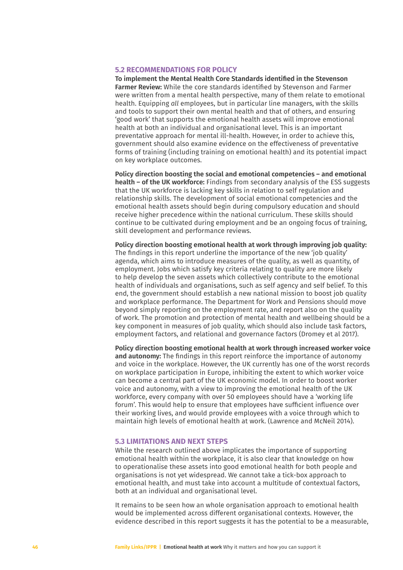#### **5.2 RECOMMENDATIONS FOR POLICY**

**To implement the Mental Health Core Standards identified in the Stevenson Farmer Review:** While the core standards identified by Stevenson and Farmer were written from a mental health perspective, many of them relate to emotional health. Equipping *all* employees, but in particular line managers, with the skills and tools to support their own mental health and that of others, and ensuring 'good work' that supports the emotional health assets will improve emotional health at both an individual and organisational level. This is an important preventative approach for mental ill-health. However, in order to achieve this, government should also examine evidence on the effectiveness of preventative forms of training (including training on emotional health) and its potential impact on key workplace outcomes.

**Policy direction boosting the social and emotional competencies – and emotional health – of the UK workforce:** Findings from secondary analysis of the ESS suggests that the UK workforce is lacking key skills in relation to self regulation and relationship skills. The development of social emotional competencies and the emotional health assets should begin during compulsory education and should receive higher precedence within the national curriculum. These skills should continue to be cultivated during employment and be an ongoing focus of training, skill development and performance reviews.

**Policy direction boosting emotional health at work through improving job quality:**  The findings in this report underline the importance of the new 'job quality' agenda, which aims to introduce measures of the quality, as well as quantity, of employment. Jobs which satisfy key criteria relating to quality are more likely to help develop the seven assets which collectively contribute to the emotional health of individuals and organisations, such as self agency and self belief. To this end, the government should establish a new national mission to boost job quality and workplace performance. The Department for Work and Pensions should move beyond simply reporting on the employment rate, and report also on the quality of work. The promotion and protection of mental health and wellbeing should be a key component in measures of job quality, which should also include task factors, employment factors, and relational and governance factors (Dromey et al 2017).

**Policy direction boosting emotional health at work through increased worker voice and autonomy:** The findings in this report reinforce the importance of autonomy and voice in the workplace. However, the UK currently has one of the worst records on workplace participation in Europe, inhibiting the extent to which worker voice can become a central part of the UK economic model. In order to boost worker voice and autonomy, with a view to improving the emotional health of the UK workforce, every company with over 50 employees should have a 'working life forum'. This would help to ensure that employees have sufficient influence over their working lives, and would provide employees with a voice through which to maintain high levels of emotional health at work. (Lawrence and McNeil 2014).

#### **5.3 LIMITATIONS AND NEXT STEPS**

While the research outlined above implicates the importance of supporting emotional health within the workplace, it is also clear that knowledge on how to operationalise these assets into good emotional health for both people and organisations is not yet widespread. We cannot take a tick-box approach to emotional health, and must take into account a multitude of contextual factors, both at an individual and organisational level.

It remains to be seen how an whole organisation approach to emotional health would be implemented across different organisational contexts. However, the evidence described in this report suggests it has the potential to be a measurable,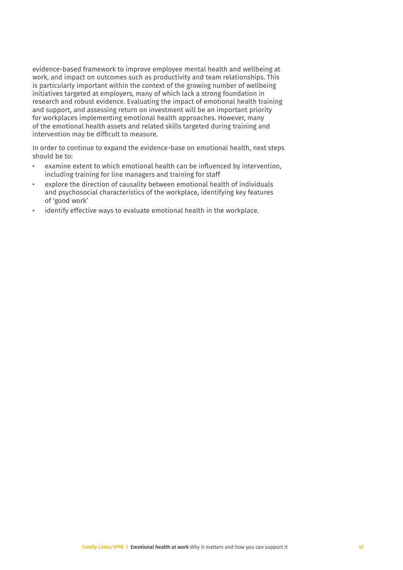<span id="page-48-0"></span>evidence-based framework to improve employee mental health and wellbeing at work, and impact on outcomes such as productivity and team relationships. This is particularly important within the context of the growing number of wellbeing initiatives targeted at employers, many of which lack a strong foundation in research and robust evidence. Evaluating the impact of emotional health training and support, and assessing return on investment will be an important priority for workplaces implementing emotional health approaches. However, many of the emotional health assets and related skills targeted during training and intervention may be difficult to measure.

In order to continue to expand the evidence-base on emotional health, next steps should be to:

- examine extent to which emotional health can be influenced by intervention, including training for line managers and training for staff
- explore the direction of causality between emotional health of individuals and psychosocial characteristics of the workplace, identifying key features of 'good work'
- identify effective ways to evaluate emotional health in the workplace.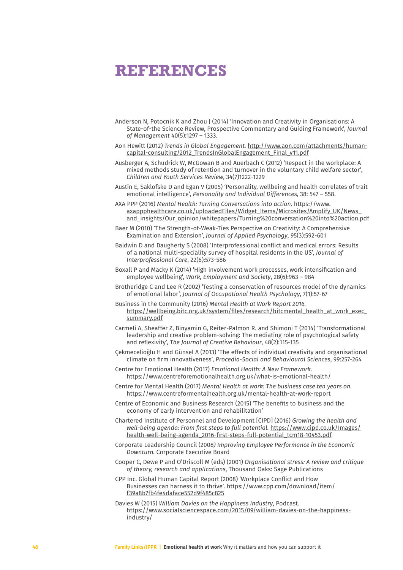### **REFERENCES**

- Anderson N, Potocnik K and Zhou J (2014) 'Innovation and Creativity in Organisations: A State-of-the Science Review, Prospective Commentary and Guiding Framework', *Journal of Management* 40(5):1297 – 1333.
- Aon Hewitt (2012) *Trends in Global Engagement.* [http://www.aon.com/attachments/human](http://www.aon.com/attachments/human-capital-consulting/2012_TrendsInGlobalEngagement_Final_v11.pdf)[capital-consulting/2012\\_TrendsInGlobalEngagement\\_Final\\_v11.pdf](http://www.aon.com/attachments/human-capital-consulting/2012_TrendsInGlobalEngagement_Final_v11.pdf)
- Ausberger A, Schudrick W, McGowan B and Auerbach C (2012) 'Respect in the workplace: A mixed methods study of retention and turnover in the voluntary child welfare sector', *Children and Youth Services Review*, 34(7)1222-1229
- Austin E, Saklofske D and Egan V (2005) 'Personality, wellbeing and health correlates of trait emotional intelligence', *Personality and Individual Differences,* 38: 547 – 558.
- AXA PPP (2016) *Mental Health: Turning Conversations into action.* [https://www.](https://www.axappphealthcare.co.uk/uploadedFiles/Widget_Items/Microsites/Amplify_UK/News_and_insights/Our_opinion/whitepapers/Turning conversation into action.pdf) axappphealthcare.co.uk/uploadedFiles/Widget\_Items/Microsites/Amplify\_UK/News [and\\_insights/Our\\_opinion/whitepapers/Turning%20conversation%20into%20action.pdf](https://www.axappphealthcare.co.uk/uploadedFiles/Widget_Items/Microsites/Amplify_UK/News_and_insights/Our_opinion/whitepapers/Turning conversation into action.pdf)
- Baer M (2010) 'The Strength-of-Weak-Ties Perspective on Creativity: A Comprehensive Examination and Extension', *Journal of Applied Psychology*, 95(3):592-601
- Baldwin D and Daugherty S (2008) 'Interprofessional conflict and medical errors: Results of a national multi-speciality survey of hospital residents in the US', *Journal of Interprofessional Care*, 22(6):573-586
- Boxall P and Macky K (2014) 'High involvement work processes, work intensification and employee wellbeing', *Work, Employment and Society*, 28(6):963 – 984
- Brotheridge C and Lee R (2002) 'Testing a conservation of resources model of the dynamics of emotional labor', *Journal of Occupational Health Psychology*, 7(1):57-67
- Business in the Community (2016) *Mental Health at Work Report 2016.*  [https://wellbeing.bitc.org.uk/system/files/research/bitcmental\\_health\\_at\\_work\\_exec\\_](https://wellbeing.bitc.org.uk/system/files/research/bitcmental_health_at_work_exec_summary.pdf) [summary.pdf](https://wellbeing.bitc.org.uk/system/files/research/bitcmental_health_at_work_exec_summary.pdf)
- Carmeli A, Sheaffer Z, Binyamin G, Reiter-Palmon R. and Shimoni T (2014) 'Transformational leadership and creative problem-solving: The mediating role of psychological safety and reflexivity', *The Journal of Creative Behaviour*, 48(2):115-135
- Çekmecelioğlu H and Günsel A (2013) 'The effects of individual creativity and organisational climate on firm innovativeness', *Procedia-Social and Behavioural Sciences*, 99:257-264
- Centre for Emotional Health (2017) *Emotional Health: A New Framework.* <https://www.centreforemotionalhealth.org.uk/what-is-emotional-health/>
- Centre for Mental Health (2017) *Mental Health at work: The business case ten years on.*  <https://www.centreformentalhealth.org.uk/mental-health-at-work-report>
- Centre of Economic and Business Research (2015) 'The benefits to business and the economy of early intervention and rehabilitation'
- Chartered Institute of Personnel and Development [CIPD] (2016) *Growing the health and well-being agenda: From first steps to full potential.* [https://www.cipd.co.uk/Images/](https://www.cipd.co.uk/Images/health-well-being-agenda_2016-first-steps-full-potential_tcm18-10453.pdf) [health-well-being-agenda\\_2016-first-steps-full-potential\\_tcm18-10453.pdf](https://www.cipd.co.uk/Images/health-well-being-agenda_2016-first-steps-full-potential_tcm18-10453.pdf)
- Corporate Leadership Council (2008*) Improving Employee Performance in the Economic Downturn.* Corporate Executive Board
- Cooper C, Dewe P and O'Driscoll M (eds) (2001) *Organisational stress: A review and critique of theory, research and applications*, Thousand Oaks: Sage Publications
- CPP Inc. Global Human Capital Report (2008) 'Workplace Conflict and How Businesses can harness it to thrive'. [https://www.cpp.com/download/item/](https://www.cpp.com/download/item/f39a8b7fb4fe4daface552d9f485c825) [f39a8b7fb4fe4daface552d9f485c825](https://www.cpp.com/download/item/f39a8b7fb4fe4daface552d9f485c825)
- Davies W (2015) *William Davies on the Happiness Industry*, Podcast. [https://www.socialsciencespace.com/2015/09/william-davies-on-the-happiness](https://www.socialsciencespace.com/2015/09/william-davies-on-the-happiness-industry/)[industry/](https://www.socialsciencespace.com/2015/09/william-davies-on-the-happiness-industry/)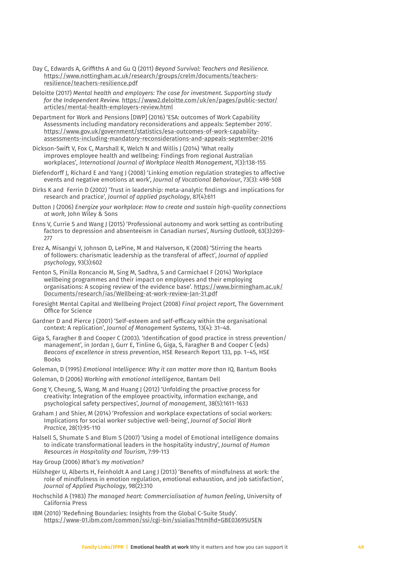- <span id="page-50-0"></span>Day C, Edwards A, Griffiths A and Gu Q (2011) *Beyond Survival: Teachers and Resilience.*  [https://www.nottingham.ac.uk/research/groups/crelm/documents/teachers](https://www.nottingham.ac.uk/research/groups/crelm/documents/teachers-resilience/teachers-resilience.pdf)[resilience/teachers-resilience.pdf](https://www.nottingham.ac.uk/research/groups/crelm/documents/teachers-resilience/teachers-resilience.pdf)
- Deloitte (2017) *Mental health and employers: The case for investment. Supporting study for the Independent Review.* [https://www2.deloitte.com/uk/en/pages/public-sector/](https://www2.deloitte.com/uk/en/pages/public-sector/articles/mental-health-employers-review.html) [articles/mental-health-employers-review.html](https://www2.deloitte.com/uk/en/pages/public-sector/articles/mental-health-employers-review.html)
- Department for Work and Pensions [DWP] (2016) 'ESA: outcomes of Work Capability Assessments including mandatory reconsiderations and appeals: September 2016'. [https://www.gov.uk/government/statistics/esa-outcomes-of-work-capability](https://www.gov.uk/government/statistics/esa-outcomes-of-work-capability-assessments-including-mandatory-reconsiderations-and-appeals-september-2016)[assessments-including-mandatory-reconsiderations-and-appeals-september-2016](https://www.gov.uk/government/statistics/esa-outcomes-of-work-capability-assessments-including-mandatory-reconsiderations-and-appeals-september-2016)
- Dickson-Swift V, Fox C, Marshall K, Welch N and Willis J (2014) 'What really improves employee health and wellbeing: Findings from regional Australian workplaces'*, International Journal of Workplace Health Management*, 7(3):138-155
- Diefendorff J, Richard E and Yang J (2008) 'Linking emotion regulation strategies to affective events and negative emotions at work', *Journal of Vocational Behaviour*, 73(3): 498-508
- Dirks K and Ferrin D (2002) 'Trust in leadership: meta-analytic findings and implications for research and practice', *Journal of applied psychology*, 87(4):611
- Dutton J (2006) *Energize your workplace: How to create and sustain high-quality connections at work*, John Wiley & Sons
- Enns V, Currie S and Wang J (2015) 'Professional autonomy and work setting as contributing factors to depression and absenteeism in Canadian nurses', *Nursing Outlook*, 63(3):269- 277
- Erez A, Misangyi V, Johnson D, LePine, M and Halverson, K (2008) 'Stirring the hearts of followers: charismatic leadership as the transferal of affect', *Journal of applied psychology*, 93(3):602
- Fenton S, Pinilla Roncancio M, Sing M, Sadhra, S and Carmichael F (2014) 'Workplace wellbeing programmes and their impact on employees and their employing organisations: A scoping review of the evidence base'. [https://www.birmingham.ac.uk/](https://www.birmingham.ac.uk/Documents/research/ias/Wellbeing-at-work-review-Jan-31.pdf) [Documents/research/ias/Wellbeing-at-work-review-Jan-31.pdf](https://www.birmingham.ac.uk/Documents/research/ias/Wellbeing-at-work-review-Jan-31.pdf)
- Foresight Mental Capital and Wellbeing Project (2008) *Final project report*, The Government Office for Science
- Gardner D and Pierce J (2001) 'Self-esteem and self-efficacy within the organisational context: A replication', *Journal of Management Systems*, 13(4): 31–48.
- Giga S, Faragher B and Cooper C (2003). 'Identification of good practice in stress prevention/ management', in Jordan J, Gurr E, Tinline G, Giga, S, Faragher B and Cooper C (eds) *Beacons of excellence in stress prevention*, HSE Research Report 133, pp. 1–45, HSE Books
- Goleman, D (1995) *Emotional Intelligence: Why it can matter more than IQ,* Bantum Books
- Goleman, D (2006) *Working with emotional intelligence*, Bantam Dell
- Gong Y, Cheung, S, Wang, M and Huang J (2012) 'Unfolding the proactive process for creativity: Integration of the employee proactivity, information exchange, and psychological safety perspectives', *Journal of management*, 38(5):1611-1633
- Graham J and Shier, M (2014) 'Profession and workplace expectations of social workers: Implications for social worker subjective well-being', *Journal of Social Work Practice*, 28(1):95-110
- Halsell S, Shumate S and Blum S (2007) 'Using a model of Emotional intelligence domains to indicate transformational leaders in the hospitality industry', *Journal of Human Resources in Hospitality and Tourism*, 7:99-113
- Hay Group (2006) *What's my motivation?*
- Hülsheger U, Alberts H, Feinholdt A and Lang J (2013) 'Benefits of mindfulness at work: the role of mindfulness in emotion regulation, emotional exhaustion, and job satisfaction', *Journal of Applied Psychology*, 98(2):310
- Hochschild A (1983) *The managed heart: Commercialisation of human feeling*, University of California Press
- IBM (2010) 'Redefining Boundaries: Insights from the Global C-Suite Study'. <https://www-01.ibm.com/common/ssi/cgi-bin/ssialias?htmlfid=GBE03695USEN>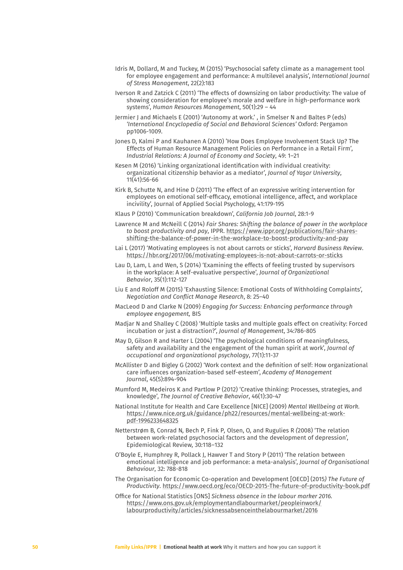- Idris M, Dollard, M and Tuckey, M (2015) 'Psychosocial safety climate as a management tool for employee engagement and performance: A multilevel analysis', *International Journal of Stress Management*, 22(2):183
- Iverson R and Zatzick C (2011) 'The effects of downsizing on labor productivity: The value of showing consideration for employee's morale and welfare in high-performance work systems', *Human Resources Management*, 50(1):29 – 44
- Jermier J and Michaels E (2001) 'Autonomy at work.' , in Smelser N and Baltes P (eds) *'International Encyclopedia of Social and Behavioral Sciences'* Oxford: Pergamon pp1006-1009.
- Jones D, Kalmi P and Kauhanen A (2010) 'How Does Employee Involvement Stack Up? The Effects of Human Resource Management Policies on Performance in a Retail Firm', *Industrial Relations: A Journal of Economy and Society*, 49: 1–21
- Kesen M (2016) 'Linking organizational identification with individual creativity: organizational citizenship behavior as a mediator', *Journal of Yaşar University*, 11(41):56-66
- Kirk B, Schutte N, and Hine D (2011) 'The effect of an expressive writing intervention for employees on emotional self-efficacy, emotional intelligence, affect, and workplace incivility', Journal of Applied Social Psychology, 41:179-195
- Klaus P (2010) 'Communication breakdown', *California Job Journal*, 28:1-9
- Lawrence M and McNeill C (2014) *Fair Shares: Shifting the balance of power in the workplace to boost productivity and pay*, IPPR. [https://www.ippr.org/publications/fair-shares](https://www.ippr.org/publications/fair-shares-shifting-the-balance-of-power-in-the-workplace-to-boost-productivity-and-pay)[shifting-the-balance-of-power-in-the-workplace-to-boost-productivity-and-pay](https://www.ippr.org/publications/fair-shares-shifting-the-balance-of-power-in-the-workplace-to-boost-productivity-and-pay)
- Lai L (2017) 'Motivating employees is not about carrots or sticks', *Harvard Business Review*. <https://hbr.org/2017/06/motivating-employees-is-not-about-carrots-or-sticks>
- Lau D, Lam, L and Wen, S (2014) 'Examining the effects of feeling trusted by supervisors in the workplace: A self-evaluative perspective', *Journal of Organizational Behavior*, 35(1):112-127
- Liu E and Roloff M (2015) 'Exhausting Silence: Emotional Costs of Withholding Complaints', *Negotiation and Conflict Manage Research*, 8: 25–40
- MacLeod D and Clarke N (2009) *Engaging for Success: Enhancing performance through employee engagement,* BIS
- Madjar N and Shalley C (2008) 'Multiple tasks and multiple goals effect on creativity: Forced incubation or just a distraction?', *Journal of Management*, 34:786-805
- May D, Gilson R and Harter L (2004) 'The psychological conditions of meaningfulness, safety and availability and the engagement of the human spirit at work', *Journal of occupational and organizational psychology*, 77(1):11-37
- McAllister D and Bigley G (2002) 'Work context and the definition of self: How organizational care influences organization-based self-esteem', *Academy of Management Journal*, 45(5):894-904
- Mumford M, Medeiros K and Partlow P (2012) 'Creative thinking: Processes, strategies, and knowledge', *The Journal of Creative Behavior*, 46(1):30-47
- National Institute for Health and Care Excellence [NICE] (2009) *Mental Wellbeing at Work.*  [https://www.nice.org.uk/guidance/ph22/resources/mental-wellbeing-at-work](https://www.nice.org.uk/guidance/ph22/resources/mental-wellbeing-at-work-pdf-1996233648325)[pdf-1996233648325](https://www.nice.org.uk/guidance/ph22/resources/mental-wellbeing-at-work-pdf-1996233648325)
- Netterstrøm B*,* Conrad N*,* Bech P*,* Fink P*,* Olsen, O*,* and Rugulies R *(*2008) 'The relation between work-related psychosocial factors and the development of depression', Epidemiological Review*,* 30*:*118*–*132
- O'Boyle E, Humphrey R, Pollack J, Hawver T and Story P (2011) 'The relation between emotional intelligence and job performance: a meta-analysis', *Journal of Organisational Behaviour*, 32: 788-818
- The Organisation for Economic Co-operation and Development [OECD] (2015*) The Future of Productivity*.<https://www.oecd.org/eco/OECD-2015-The-future-of-productivity-book.pdf>
- Office for National Statistics [ONS] *Sickness absence in the labour marker 2016.*  [https://www.ons.gov.uk/employmentandlabourmarket/peopleinwork/](https://www.ons.gov.uk/employmentandlabourmarket/peopleinwork/labourproductivity/articles/sicknessabsenceinthelabourmarket/2016) [labourproductivity/articles/sicknessabsenceinthelabourmarket/2016](https://www.ons.gov.uk/employmentandlabourmarket/peopleinwork/labourproductivity/articles/sicknessabsenceinthelabourmarket/2016)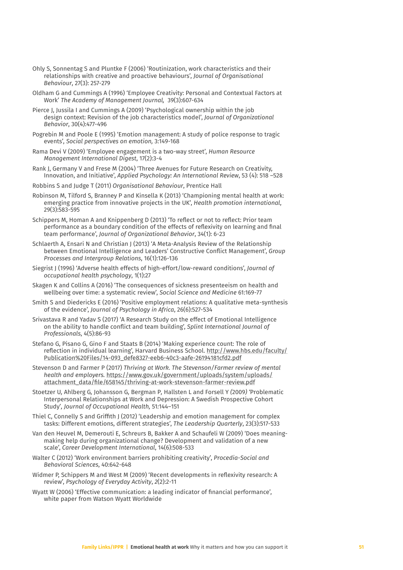- Ohly S, Sonnentag S and Pluntke F (2006) 'Routinization, work characteristics and their relationships with creative and proactive behaviours', *Journal of Organisational Behaviour*, 27(3): 257-279
- Oldham G and Cummings A (1996) 'Employee Creativity: Personal and Contextual Factors at Work' *The Academy of Management Journal,* 39(3):607-634
- Pierce J, Jussila I and Cummings A (2009) 'Psychological ownership within the job design context: Revision of the job characteristics model', *Journal of Organizational Behavior*, 30(4):477-496
- Pogrebin M and Poole E (1995) 'Emotion management: A study of police response to tragic events', *Social perspectives on emotion,* 3:149-168
- Rama Devi V (2009) 'Employee engagement is a two-way street', *Human Resource Management International Digest*, 17(2):3-4
- Rank J, Germany V and Frese M (2004) 'Three Avenues for Future Research on Creativity, Innovation, and Initiative', *Applied Psychology: An International Review*, 53 (4): 518 –528
- Robbins S and Judge T (2011) *Organisational Behaviour*, Prentice Hall
- Robinson M, Tilford S, Branney P and Kinsella K (2013) 'Championing mental health at work: emerging practice from innovative projects in the UK', *Health promotion international*, 29(3):583-595
- Schippers M, Homan A and Knippenberg D (2013) 'To reflect or not to reflect: Prior team performance as a boundary condition of the effects of reflexivity on learning and final team performance', *Journal of Organizational Behavior*, 34(1): 6-23
- Schlaerth A, Ensari N and Christian J (2013) 'A Meta-Analysis Review of the Relationship between Emotional Intelligence and Leaders' Constructive Conflict Management', *Group Processes and Intergroup Relations*, 16(1):126-136
- Siegrist J (1996) 'Adverse health effects of high-effort/low-reward conditions', *Journal of occupational health psychology*, 1(1):27
- Skagen K and Collins A (2016) 'The consequences of sickness presenteeism on health and wellbeing over time: a systematic review', *Social Science and Medicine* 61:169-77
- Smith S and Diedericks E (2016) 'Positive employment relations: A qualitative meta-synthesis of the evidence', *Journal of Psychology in Africa*, 26(6):527-534
- Srivastava R and Yadav S (2017) 'A Research Study on the effect of Emotional Intelligence on the ability to handle conflict and team building', *Splint International Journal of Professionals*, 4(5):86-93
- Stefano G, Pisano G, Gino F and Staats B (2014) 'Making experience count: The role of reflection in individual learning', Harvard Business School. [http://www.hbs.edu/faculty/](http://www.hbs.edu/faculty/Publication Files/14-093_defe8327-eeb6-40c3-aafe-26194181cfd2.pdf) [Publication%20Files/14-093\\_defe8327-eeb6-40c3-aafe-26194181cfd2.pdf](http://www.hbs.edu/faculty/Publication Files/14-093_defe8327-eeb6-40c3-aafe-26194181cfd2.pdf)
- Stevenson D and Farmer P (2017) *Thriving at Work. The Stevenson/Farmer review of mental health and employers.* [https://www.gov.uk/government/uploads/system/uploads/](https://www.gov.uk/government/uploads/system/uploads/attachment_data/file/658145/thriving-at-work-stevenson-farmer-review.pdf) [attachment\\_data/file/658145/thriving-at-work-stevenson-farmer-review.pdf](https://www.gov.uk/government/uploads/system/uploads/attachment_data/file/658145/thriving-at-work-stevenson-farmer-review.pdf)
- Stoetzer U*,* Ahlberg G*,* Johansson G*,* Bergman P*,* Hallsten L and Forsell Y *(*2009*) '*Problematic Interpersonal Relationships at Work and Depression: A Swedish Prospective Cohort Study'*, Journal of Occupational Health,* 51*:*144*–*151
- Thiel C, Connelly S and Griffith J (2012) 'Leadership and emotion management for complex tasks: Different emotions, different strategies', *The Leadership Quarterly*, 23(3):517-533
- Van den Heuvel M, Demerouti E, Schreurs B, Bakker A and Schaufeli W (2009) 'Does meaningmaking help during organizational change? Development and validation of a new scale', *Career Development International*, 14(6):508-533
- Walter C (2012) 'Work environment barriers prohibiting creativity', *Procedia-Social and Behavioral Sciences*, 40:642-648
- Widmer P, Schippers M and West M (2009) 'Recent developments in reflexivity research: A review', *Psychology of Everyday Activity*, *2*(2):2-11
- Wyatt W (2006) 'Effective communication: a leading indicator of financial performance', white paper from Watson Wyatt Worldwide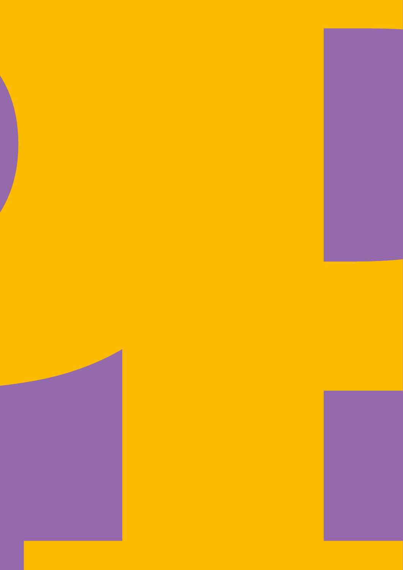